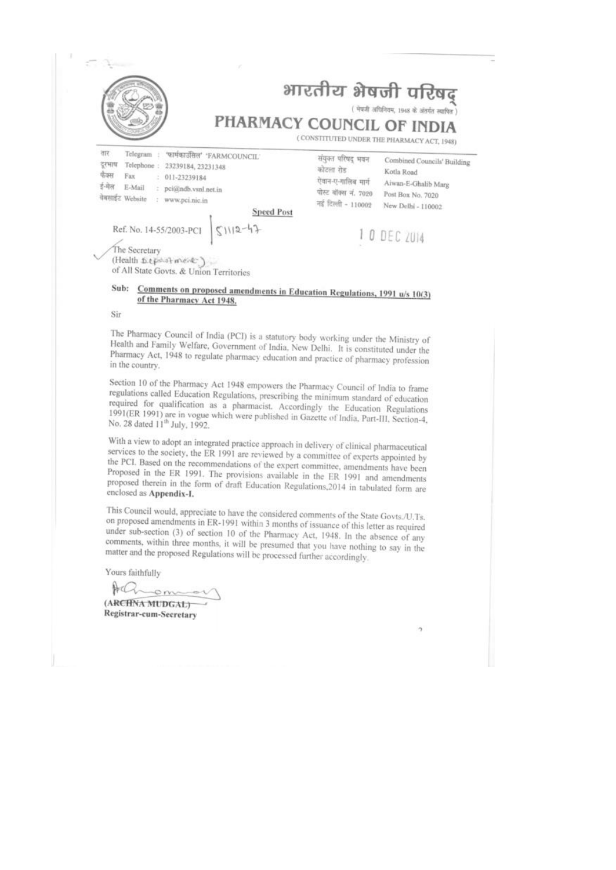| PHARMACY COUNCIL OF INDIA                                                                                                                                                                                                              |                                                                                                     | भारतीय भेषजी परिषद्<br>( भेषजी अधिनियम, 1948 के अंतर्गत स्वापित<br>(CONSTITUTED UNDER THE PHARMACY ACT, 1948) |
|----------------------------------------------------------------------------------------------------------------------------------------------------------------------------------------------------------------------------------------|-----------------------------------------------------------------------------------------------------|---------------------------------------------------------------------------------------------------------------|
| तार<br>Telegram<br>"फार्मकाउँसिल" "FARMCOUNCIL"<br>दरभाष<br>Telephone:<br>23239184, 23231348<br>फीक्स<br>Fax<br>011-23239184<br>ई-मेल<br>E-Mail<br>pci@ndb.vsnl.net.in<br>चेबसाइंट Website<br>÷<br>www.pci.nic.in<br><b>Speed Post</b> | संयुक्त परिषद् भवन<br>कोटला रोड<br>ऐवान-ए-गालिब मार्ग<br>पोस्ट बॉक्स नं. 7020<br>नई दिल्ली - 110002 | Combined Councils' Building<br>Kotla Road<br>Aiwan-E-Ghalib Marg<br>Post Box No. 7020<br>New Delhi - 110002   |
| $51112 - 47$<br>Ref. No. 14-55/2003-PCI                                                                                                                                                                                                |                                                                                                     | 1 0 DEC 2014                                                                                                  |

#### Sub: Comments on proposed amendments in Education Regulations, 1991 u/s 10(3) of the Pharmacy Act 1948.

Sir

The Pharmacy Council of India (PCI) is a statutory body working under the Ministry of Health and Family Welfare, Government of India, New Delhi. It is constituted under the Pharmacy Act, 1948 to regulate pharmacy education and practice of pharmacy profession in the country.

Section 10 of the Pharmacy Act 1948 empowers the Pharmacy Council of India to frame regulations called Education Regulations, prescribing the minimum standard of education required for qualification as a pharmacist. Accordingly the Education Regulations 1991(ER 1991) are in vogue which were published in Gazette of India, Part-III, Section-4, No. 28 dated 11<sup>th</sup> July, 1992.

With a view to adopt an integrated practice approach in delivery of clinical pharmaceutical services to the society, the ER 1991 are reviewed by a committee of experts appointed by the PCI. Based on the recommendations of the expert committee, amendments have been Proposed in the ER 1991. The provisions available in the ER 1991 and amendments proposed therein in the form of draft Education Regulations, 2014 in tabulated form are enclosed as Appendix-I.

This Council would, appreciate to have the considered comments of the State Govts./U.Ts. on proposed amendments in ER-1991 within 3 months of issuance of this letter as required under sub-section (3) of section 10 of the Pharmacy Act, 1948. In the absence of any comments, within three months, it will be presumed that you have nothing to say in the matter and the proposed Regulations will be processed further accordingly.

Yours faithfully

Achome (ARCHNA MUDGAL) Registrar-cum-Secretary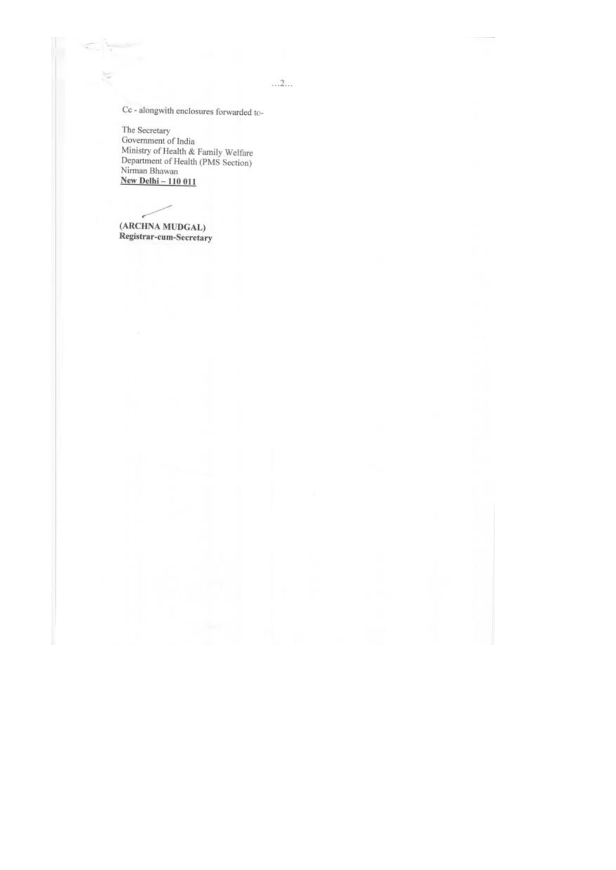$\dots 2\dots$ 

Cc - alongwith enclosures forwarded to-

The Secretary Ine Secretary<br>Government of India<br>Ministry of Health & Family Welfare<br>Department of Health (PMS Section)<br>Nirman Bhawan<br>New Delhi – 110 011

(ARCHNA MUDGAL) Registrar-cum-Secretary

÷

5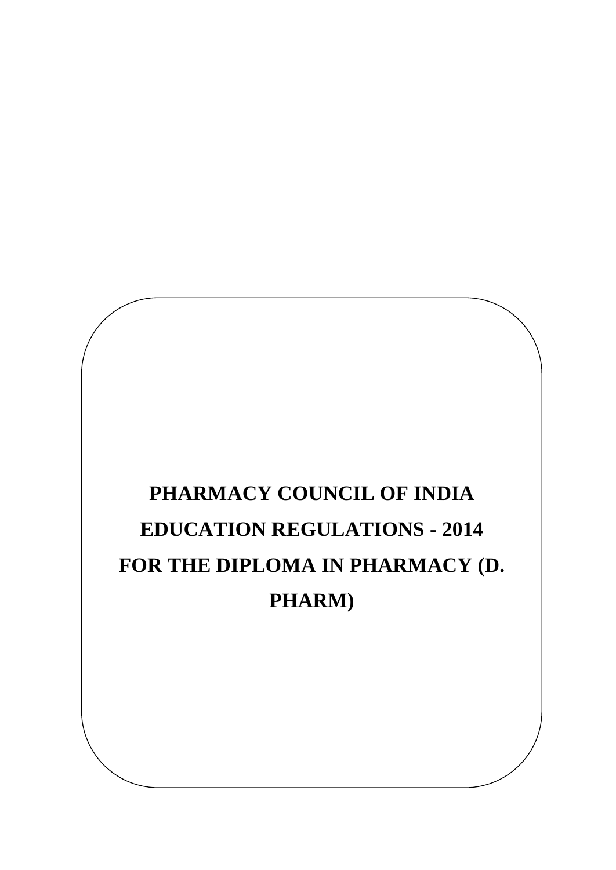# **PHARMACY COUNCIL OF INDIA EDUCATION REGULATIONS - 2014 FOR THE DIPLOMA IN PHARMACY (D. PHARM)**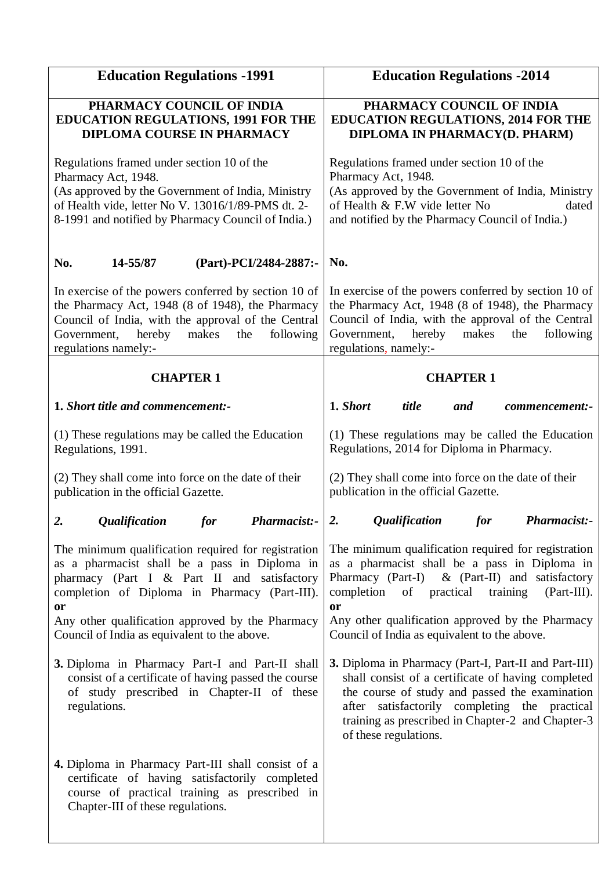| <b>Education Regulations -1991</b>                                                                                                                                                                                                                                                                                    | <b>Education Regulations -2014</b>                                                                                                                                                                                                                                                                                        |  |  |  |  |  |  |
|-----------------------------------------------------------------------------------------------------------------------------------------------------------------------------------------------------------------------------------------------------------------------------------------------------------------------|---------------------------------------------------------------------------------------------------------------------------------------------------------------------------------------------------------------------------------------------------------------------------------------------------------------------------|--|--|--|--|--|--|
| PHARMACY COUNCIL OF INDIA<br><b>EDUCATION REGULATIONS, 1991 FOR THE</b><br><b>DIPLOMA COURSE IN PHARMACY</b>                                                                                                                                                                                                          | PHARMACY COUNCIL OF INDIA<br><b>EDUCATION REGULATIONS, 2014 FOR THE</b><br>DIPLOMA IN PHARMACY(D. PHARM)                                                                                                                                                                                                                  |  |  |  |  |  |  |
| Regulations framed under section 10 of the<br>Pharmacy Act, 1948.<br>(As approved by the Government of India, Ministry<br>of Health vide, letter No V. 13016/1/89-PMS dt. 2-<br>8-1991 and notified by Pharmacy Council of India.)                                                                                    | Regulations framed under section 10 of the<br>Pharmacy Act, 1948.<br>(As approved by the Government of India, Ministry<br>of Health & F.W vide letter No<br>dated<br>and notified by the Pharmacy Council of India.)                                                                                                      |  |  |  |  |  |  |
| No.<br>14-55/87<br>(Part)-PCI/2484-2887:-                                                                                                                                                                                                                                                                             | No.                                                                                                                                                                                                                                                                                                                       |  |  |  |  |  |  |
| In exercise of the powers conferred by section 10 of<br>the Pharmacy Act, 1948 (8 of 1948), the Pharmacy<br>Council of India, with the approval of the Central<br>hereby<br>makes<br>following<br>Government,<br>the<br>regulations namely:-                                                                          | In exercise of the powers conferred by section 10 of<br>the Pharmacy Act, 1948 (8 of 1948), the Pharmacy<br>Council of India, with the approval of the Central<br>hereby<br>Government,<br>makes<br>the<br>following<br>regulations, namely:-                                                                             |  |  |  |  |  |  |
| <b>CHAPTER 1</b>                                                                                                                                                                                                                                                                                                      | <b>CHAPTER 1</b>                                                                                                                                                                                                                                                                                                          |  |  |  |  |  |  |
| 1. Short title and commencement:-                                                                                                                                                                                                                                                                                     | 1. Short<br>title<br>and<br>commencement:-                                                                                                                                                                                                                                                                                |  |  |  |  |  |  |
| (1) These regulations may be called the Education<br>Regulations, 1991.                                                                                                                                                                                                                                               | (1) These regulations may be called the Education<br>Regulations, 2014 for Diploma in Pharmacy.                                                                                                                                                                                                                           |  |  |  |  |  |  |
| (2) They shall come into force on the date of their<br>publication in the official Gazette.                                                                                                                                                                                                                           | (2) They shall come into force on the date of their<br>publication in the official Gazette.                                                                                                                                                                                                                               |  |  |  |  |  |  |
| 2.<br><i><b>Qualification</b></i><br><b>Pharmacist:-</b><br><i>for</i>                                                                                                                                                                                                                                                | <b>Qualification</b><br><b>Pharmacist:-</b><br>2.<br><i>for</i>                                                                                                                                                                                                                                                           |  |  |  |  |  |  |
| The minimum qualification required for registration<br>as a pharmacist shall be a pass in Diploma in<br>pharmacy (Part I & Part II and satisfactory<br>completion of Diploma in Pharmacy (Part-III).<br><b>or</b><br>Any other qualification approved by the Pharmacy<br>Council of India as equivalent to the above. | The minimum qualification required for registration<br>as a pharmacist shall be a pass in Diploma in<br>Pharmacy (Part-I) & (Part-II) and satisfactory<br>completion of<br>practical<br>training<br>(Part-III).<br>or<br>Any other qualification approved by the Pharmacy<br>Council of India as equivalent to the above. |  |  |  |  |  |  |
| 3. Diploma in Pharmacy Part-I and Part-II shall<br>consist of a certificate of having passed the course<br>of study prescribed in Chapter-II of these<br>regulations.                                                                                                                                                 | 3. Diploma in Pharmacy (Part-I, Part-II and Part-III)<br>shall consist of a certificate of having completed<br>the course of study and passed the examination<br>after satisfactorily completing the practical<br>training as prescribed in Chapter-2 and Chapter-3<br>of these regulations.                              |  |  |  |  |  |  |
| 4. Diploma in Pharmacy Part-III shall consist of a<br>certificate of having satisfactorily completed<br>course of practical training as prescribed in<br>Chapter-III of these regulations.                                                                                                                            |                                                                                                                                                                                                                                                                                                                           |  |  |  |  |  |  |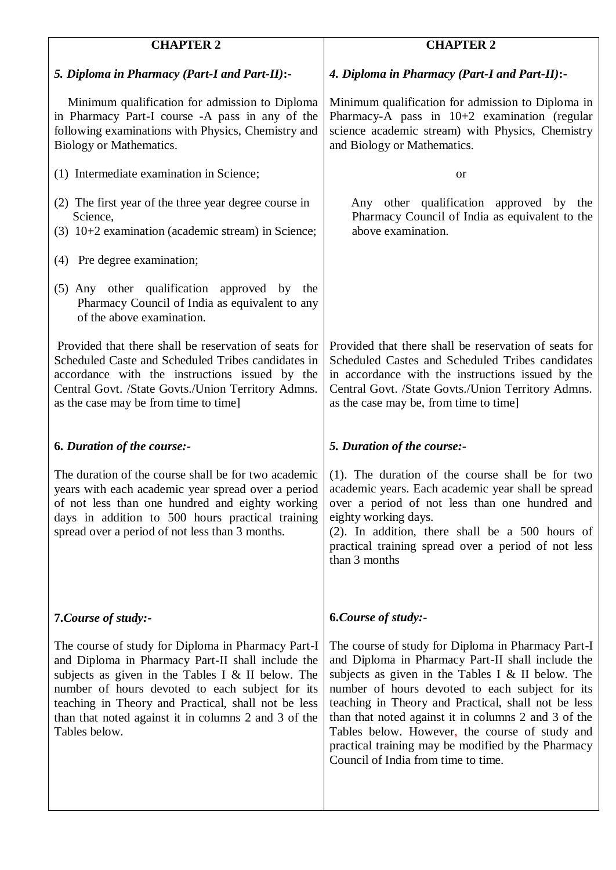| <b>CHAPTER 2</b>                                                                                                                                                                                                                                                                                                                                | <b>CHAPTER 2</b>                                                                                                                                                                                                                                                                                                                                                                                                                                                                |
|-------------------------------------------------------------------------------------------------------------------------------------------------------------------------------------------------------------------------------------------------------------------------------------------------------------------------------------------------|---------------------------------------------------------------------------------------------------------------------------------------------------------------------------------------------------------------------------------------------------------------------------------------------------------------------------------------------------------------------------------------------------------------------------------------------------------------------------------|
| 5. Diploma in Pharmacy (Part-I and Part-II):-                                                                                                                                                                                                                                                                                                   | 4. Diploma in Pharmacy (Part-I and Part-II):-                                                                                                                                                                                                                                                                                                                                                                                                                                   |
| Minimum qualification for admission to Diploma<br>in Pharmacy Part-I course -A pass in any of the<br>following examinations with Physics, Chemistry and<br>Biology or Mathematics.                                                                                                                                                              | Minimum qualification for admission to Diploma in<br>Pharmacy-A pass in $10+2$ examination (regular<br>science academic stream) with Physics, Chemistry<br>and Biology or Mathematics.                                                                                                                                                                                                                                                                                          |
| (1) Intermediate examination in Science;                                                                                                                                                                                                                                                                                                        | <b>or</b>                                                                                                                                                                                                                                                                                                                                                                                                                                                                       |
| (2) The first year of the three year degree course in<br>Science,<br>(3) 10+2 examination (academic stream) in Science;                                                                                                                                                                                                                         | Any other qualification approved by the<br>Pharmacy Council of India as equivalent to the<br>above examination.                                                                                                                                                                                                                                                                                                                                                                 |
| (4) Pre degree examination;                                                                                                                                                                                                                                                                                                                     |                                                                                                                                                                                                                                                                                                                                                                                                                                                                                 |
| (5) Any other qualification approved by the<br>Pharmacy Council of India as equivalent to any<br>of the above examination.                                                                                                                                                                                                                      |                                                                                                                                                                                                                                                                                                                                                                                                                                                                                 |
| Provided that there shall be reservation of seats for<br>Scheduled Caste and Scheduled Tribes candidates in<br>accordance with the instructions issued by the<br>Central Govt. /State Govts./Union Territory Admns.<br>as the case may be from time to time]                                                                                    | Provided that there shall be reservation of seats for<br>Scheduled Castes and Scheduled Tribes candidates<br>in accordance with the instructions issued by the<br>Central Govt. /State Govts./Union Territory Admns.<br>as the case may be, from time to time]                                                                                                                                                                                                                  |
| <b>6. Duration of the course:-</b>                                                                                                                                                                                                                                                                                                              | 5. Duration of the course:-                                                                                                                                                                                                                                                                                                                                                                                                                                                     |
| The duration of the course shall be for two academic<br>years with each academic year spread over a period<br>of not less than one hundred and eighty working<br>days in addition to 500 hours practical training<br>spread over a period of not less than 3 months.                                                                            | (1). The duration of the course shall be for two<br>academic years. Each academic year shall be spread<br>over a period of not less than one hundred and<br>eighty working days.<br>(2). In addition, there shall be a 500 hours of<br>practical training spread over a period of not less<br>than 3 months                                                                                                                                                                     |
| 7. Course of study:-                                                                                                                                                                                                                                                                                                                            | <b>6.Course of study:-</b>                                                                                                                                                                                                                                                                                                                                                                                                                                                      |
| The course of study for Diploma in Pharmacy Part-I<br>and Diploma in Pharmacy Part-II shall include the<br>subjects as given in the Tables I & II below. The<br>number of hours devoted to each subject for its<br>teaching in Theory and Practical, shall not be less<br>than that noted against it in columns 2 and 3 of the<br>Tables below. | The course of study for Diploma in Pharmacy Part-I<br>and Diploma in Pharmacy Part-II shall include the<br>subjects as given in the Tables I $&$ II below. The<br>number of hours devoted to each subject for its<br>teaching in Theory and Practical, shall not be less<br>than that noted against it in columns 2 and 3 of the<br>Tables below. However, the course of study and<br>practical training may be modified by the Pharmacy<br>Council of India from time to time. |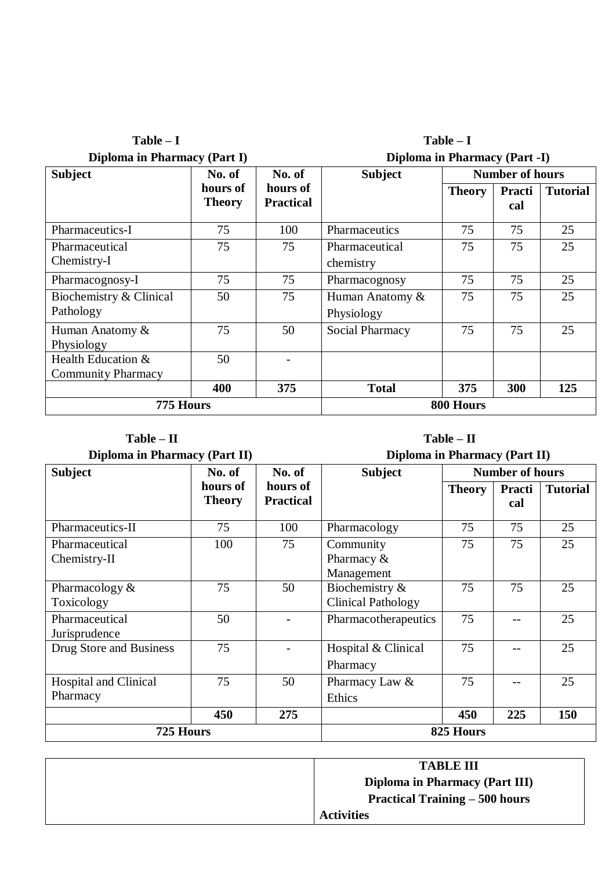| Diploma in Pharmacy (Part I)                    |                           |                              | Diploma in Pharmacy (Part -I) |               |                        |                 |  |  |  |
|-------------------------------------------------|---------------------------|------------------------------|-------------------------------|---------------|------------------------|-----------------|--|--|--|
| <b>Subject</b>                                  | No. of                    | No. of                       | <b>Subject</b>                |               | <b>Number of hours</b> |                 |  |  |  |
|                                                 | hours of<br><b>Theory</b> | hours of<br><b>Practical</b> |                               | <b>Theory</b> | Practi<br>cal          | <b>Tutorial</b> |  |  |  |
| Pharmaceutics-I                                 | 75                        | 100                          | Pharmaceutics                 | 75            | 75                     | 25              |  |  |  |
| Pharmaceutical<br>Chemistry-I                   | 75                        | 75                           | Pharmaceutical<br>chemistry   | 75            | 75                     | 25              |  |  |  |
| Pharmacognosy-I                                 | 75                        | 75                           | Pharmacognosy                 | 75            | 75                     | 25              |  |  |  |
| Biochemistry & Clinical<br>Pathology            | 50                        | 75                           | Human Anatomy &<br>Physiology | 75            | 75                     | 25              |  |  |  |
| Human Anatomy &<br>Physiology                   | 75                        | 50                           | Social Pharmacy               | 75            | 75                     | 25              |  |  |  |
| Health Education &<br><b>Community Pharmacy</b> | 50                        |                              |                               |               |                        |                 |  |  |  |
|                                                 | 400                       | 375                          | <b>Total</b>                  | 375           | 300                    | 125             |  |  |  |
| 775 Hours                                       |                           |                              |                               | 800 Hours     |                        |                 |  |  |  |

 **Table – I Table – I**

**Diploma in Pharmacy (Part II) Diploma in Pharmacy (Part II)**

| <b>Subject</b>                           | No. of                    | No. of                       | <b>Subject</b>                              | <b>Number of hours</b> |               |                 |  |  |
|------------------------------------------|---------------------------|------------------------------|---------------------------------------------|------------------------|---------------|-----------------|--|--|
|                                          | hours of<br><b>Theory</b> | hours of<br><b>Practical</b> |                                             | <b>Theory</b>          | Practi<br>cal | <b>Tutorial</b> |  |  |
| Pharmaceutics-II                         | 75                        | 100                          | Pharmacology                                | 75                     | 75            | 25              |  |  |
| Pharmaceutical<br>Chemistry-II           | 100                       | 75                           | Community<br>Pharmacy $&$<br>Management     | 75                     | 75            | 25              |  |  |
| Pharmacology $&$<br>Toxicology           | 75                        | 50                           | Biochemistry &<br><b>Clinical Pathology</b> | 75                     | 75            | 25              |  |  |
| Pharmaceutical<br>Jurisprudence          | 50                        |                              | Pharmacotherapeutics                        | 75                     |               | 25              |  |  |
| Drug Store and Business                  | 75                        |                              | Hospital & Clinical<br>Pharmacy             | 75                     |               | 25              |  |  |
| <b>Hospital and Clinical</b><br>Pharmacy | 75                        | 50                           | Pharmacy Law &<br>Ethics                    | 75                     |               | 25              |  |  |
|                                          | 450                       | 275                          |                                             | 450                    | 225           | 150             |  |  |
| 725 Hours                                |                           |                              | 825 Hours                                   |                        |               |                 |  |  |

| <b>TABLE III</b>                      |
|---------------------------------------|
| Diploma in Pharmacy (Part III)        |
| <b>Practical Training – 500 hours</b> |
| <b>Activities</b>                     |

| urs |  |
|-----|--|
|     |  |
|     |  |

## **Table – II Table – II**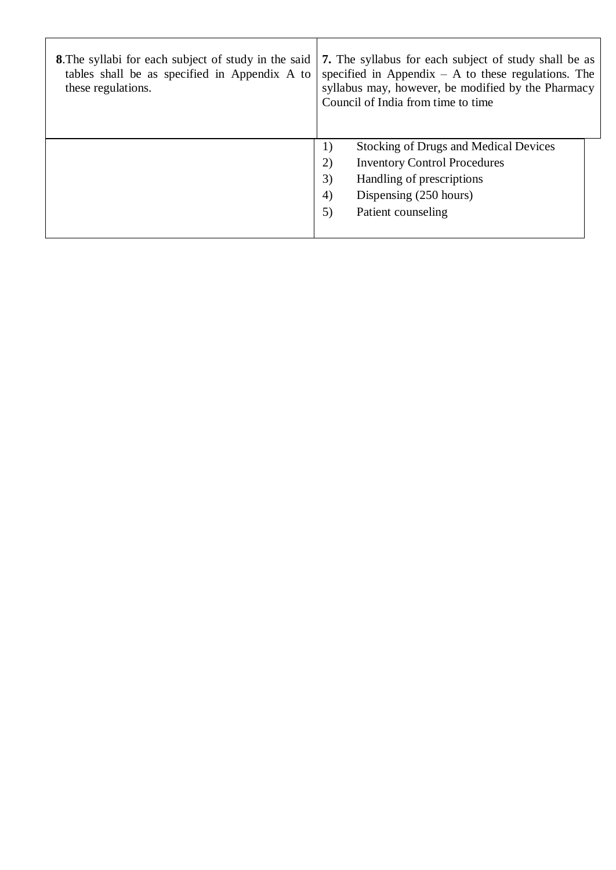| <b>8.</b> The syllabi for each subject of study in the said<br>tables shall be as specified in Appendix A to<br>these regulations. | <b>7.</b> The syllabus for each subject of study shall be as<br>specified in Appendix $- A$ to these regulations. The<br>syllabus may, however, be modified by the Pharmacy<br>Council of India from time to time |
|------------------------------------------------------------------------------------------------------------------------------------|-------------------------------------------------------------------------------------------------------------------------------------------------------------------------------------------------------------------|
|                                                                                                                                    | <b>Stocking of Drugs and Medical Devices</b><br>1)<br>(2)<br><b>Inventory Control Procedures</b><br>3)<br>Handling of prescriptions<br>4)<br>Dispensing (250 hours)<br>5)<br>Patient counseling                   |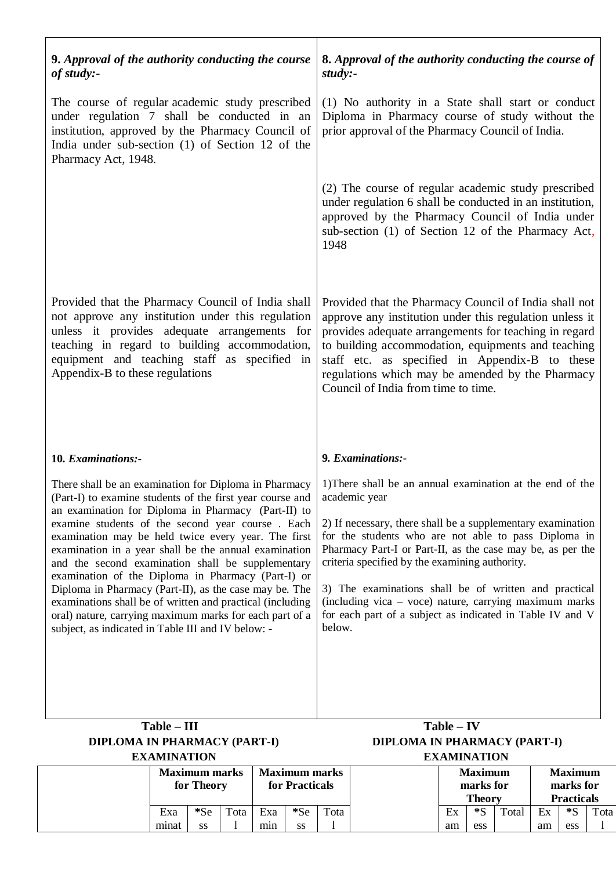| 9. Approval of the authority conducting the course<br>of study:-                                                                                                                                                                                                                                                                                                                                                                                                                                                                                                                                                                                                                                 | 8. Approval of the authority conducting the course of<br>$study: -$                                                                                                                                                                                                                                                                                                                                                                                                                                         |
|--------------------------------------------------------------------------------------------------------------------------------------------------------------------------------------------------------------------------------------------------------------------------------------------------------------------------------------------------------------------------------------------------------------------------------------------------------------------------------------------------------------------------------------------------------------------------------------------------------------------------------------------------------------------------------------------------|-------------------------------------------------------------------------------------------------------------------------------------------------------------------------------------------------------------------------------------------------------------------------------------------------------------------------------------------------------------------------------------------------------------------------------------------------------------------------------------------------------------|
| The course of regular academic study prescribed<br>under regulation 7 shall be conducted in an<br>institution, approved by the Pharmacy Council of<br>India under sub-section (1) of Section 12 of the<br>Pharmacy Act, 1948.                                                                                                                                                                                                                                                                                                                                                                                                                                                                    | (1) No authority in a State shall start or conduct<br>Diploma in Pharmacy course of study without the<br>prior approval of the Pharmacy Council of India.                                                                                                                                                                                                                                                                                                                                                   |
|                                                                                                                                                                                                                                                                                                                                                                                                                                                                                                                                                                                                                                                                                                  | (2) The course of regular academic study prescribed<br>under regulation 6 shall be conducted in an institution,<br>approved by the Pharmacy Council of India under<br>sub-section (1) of Section 12 of the Pharmacy Act,<br>1948                                                                                                                                                                                                                                                                            |
| Provided that the Pharmacy Council of India shall<br>not approve any institution under this regulation<br>unless it provides adequate arrangements for<br>teaching in regard to building accommodation,<br>equipment and teaching staff as specified in<br>Appendix-B to these regulations                                                                                                                                                                                                                                                                                                                                                                                                       | Provided that the Pharmacy Council of India shall not<br>approve any institution under this regulation unless it<br>provides adequate arrangements for teaching in regard<br>to building accommodation, equipments and teaching<br>staff etc. as specified in Appendix-B to these<br>regulations which may be amended by the Pharmacy<br>Council of India from time to time.                                                                                                                                |
| 10. Examinations:-                                                                                                                                                                                                                                                                                                                                                                                                                                                                                                                                                                                                                                                                               | 9. Examinations:-                                                                                                                                                                                                                                                                                                                                                                                                                                                                                           |
| There shall be an examination for Diploma in Pharmacy<br>(Part-I) to examine students of the first year course and<br>an examination for Diploma in Pharmacy (Part-II) to<br>examine students of the second year course. Each<br>examination may be held twice every year. The first<br>examination in a year shall be the annual examination<br>and the second examination shall be supplementary<br>examination of the Diploma in Pharmacy (Part-I) or<br>Diploma in Pharmacy (Part-II), as the case may be. The<br>examinations shall be of written and practical (including<br>oral) nature, carrying maximum marks for each part of a<br>subject, as indicated in Table III and IV below: - | 1) There shall be an annual examination at the end of the<br>academic year<br>2) If necessary, there shall be a supplementary examination<br>for the students who are not able to pass Diploma in<br>Pharmacy Part-I or Part-II, as the case may be, as per the<br>criteria specified by the examining authority.<br>3) The examinations shall be of written and practical<br>(including vica - voce) nature, carrying maximum marks<br>for each part of a subject as indicated in Table IV and V<br>below. |
| $Table - III$<br><b>DIPLOMA IN PHARMACY (PART-I)</b>                                                                                                                                                                                                                                                                                                                                                                                                                                                                                                                                                                                                                                             | $Table - IV$<br>DIPLOMA IN PHARMACY (PART-I)                                                                                                                                                                                                                                                                                                                                                                                                                                                                |

| DIFLOMA IN FRANMACI (FANI-) |                    |  |  |  |  |  |  |  |  |  |
|-----------------------------|--------------------|--|--|--|--|--|--|--|--|--|
|                             | <b>EXAMINATION</b> |  |  |  |  |  |  |  |  |  |
|                             |                    |  |  |  |  |  |  |  |  |  |

|  | <b>Maximum marks</b><br>for Theory |       |      | <b>Maximum marks</b><br>for Practicals |       |      |               | <b>Maximum</b><br>marks for |                   |    | <b>Maximum</b><br>marks for |                |  |  |
|--|------------------------------------|-------|------|----------------------------------------|-------|------|---------------|-----------------------------|-------------------|----|-----------------------------|----------------|--|--|
|  |                                    |       |      |                                        |       |      | <b>Theory</b> |                             | <b>Practicals</b> |    |                             |                |  |  |
|  | Exa                                | $*Se$ | Tota | Exa                                    | $*Se$ | Tota | Ex            | $*<$                        | Total             | Ex | *S                          | $\text{Total}$ |  |  |
|  | minat                              | SS    |      | mın                                    | SS    |      | am            | ess                         |                   | am | ess                         |                |  |  |

 **EXAMINATION EXAMINATION**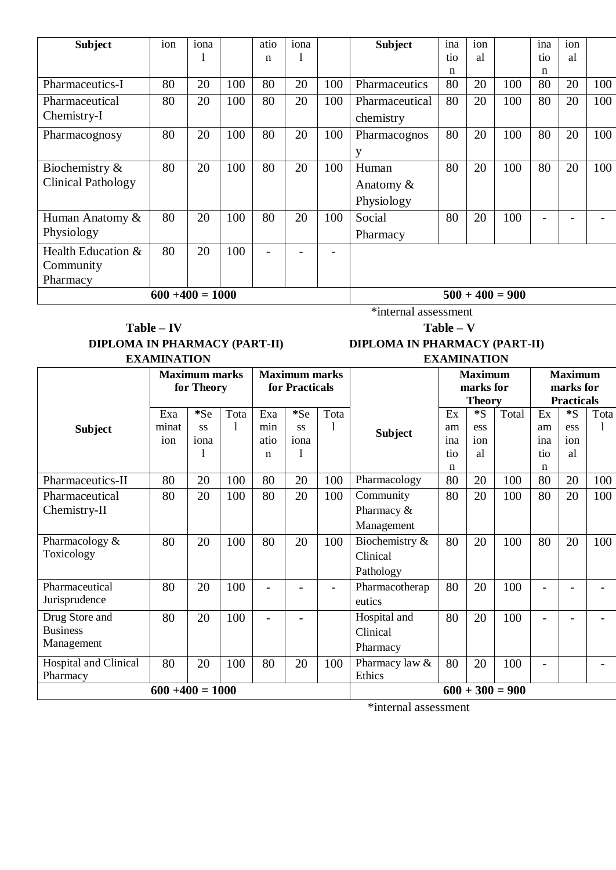| <b>Subject</b>            | ion | iona |                    | atio | iona |                          | <b>Subject</b> | ina | ion |     | ina                      | ion          |     |
|---------------------------|-----|------|--------------------|------|------|--------------------------|----------------|-----|-----|-----|--------------------------|--------------|-----|
|                           |     |      |                    | n    | 1    |                          |                | tio | al  |     | tio                      | <sub>a</sub> |     |
|                           |     |      |                    |      |      |                          |                | n   |     |     | n                        |              |     |
| Pharmaceutics-I           | 80  | 20   | 100                | 80   | 20   | 100                      | Pharmaceutics  | 80  | 20  | 100 | 80                       | 20           | 100 |
| Pharmaceutical            | 80  | 20   | 100                | 80   | 20   | 100                      | Pharmaceutical | 80  | 20  | 100 | 80                       | 20           | 100 |
| Chemistry-I               |     |      |                    |      |      |                          | chemistry      |     |     |     |                          |              |     |
| Pharmacognosy             | 80  | 20   | 100                | 80   | 20   | 100                      | Pharmacognos   | 80  | 20  | 100 | 80                       | 20           | 100 |
|                           |     |      |                    |      |      |                          | y              |     |     |     |                          |              |     |
| Biochemistry &            | 80  | 20   | 100                | 80   | 20   | 100                      | Human          | 80  | 20  | 100 | 80                       | 20           | 100 |
| <b>Clinical Pathology</b> |     |      |                    |      |      |                          | Anatomy &      |     |     |     |                          |              |     |
|                           |     |      |                    |      |      |                          | Physiology     |     |     |     |                          |              |     |
| Human Anatomy &           | 80  | 20   | 100                | 80   | 20   | 100                      | Social         | 80  | 20  | 100 | $\overline{\phantom{0}}$ |              |     |
| Physiology                |     |      |                    |      |      |                          | Pharmacy       |     |     |     |                          |              |     |
| Health Education &        | 80  | 20   | 100                |      |      | $\overline{\phantom{0}}$ |                |     |     |     |                          |              |     |
| Community                 |     |      |                    |      |      |                          |                |     |     |     |                          |              |     |
| Pharmacy                  |     |      |                    |      |      |                          |                |     |     |     |                          |              |     |
|                           |     |      | $600 + 400 = 1000$ |      |      |                          |                |     |     |     |                          |              |     |

### **Table – IV Table – V DIPLOMA IN PHARMACY (PART-II) DIPLOMA IN PHARMACY (PART-II) EXAMINATION EXAMINATION**

\*internal assessment

|                              |                    | <b>Maximum marks</b><br>for Theory |      |                | <b>Maximum marks</b><br>for Practicals |                |                |               | <b>Maximum</b><br>marks for |                   | <b>Maximum</b><br>marks for |       |      |
|------------------------------|--------------------|------------------------------------|------|----------------|----------------------------------------|----------------|----------------|---------------|-----------------------------|-------------------|-----------------------------|-------|------|
|                              |                    |                                    |      |                |                                        |                |                | <b>Theory</b> |                             |                   | <b>Practicals</b>           |       |      |
|                              | Exa                | $*Se$                              | Tota | Exa            | $*Se$                                  | Tota           |                | Ex            | $^*S$                       | Total             | Ex                          | $^*S$ | Tota |
| <b>Subject</b>               | minat              | <b>SS</b>                          | 1    | min            | SS                                     |                | <b>Subject</b> | am            | ess                         |                   | am                          | ess   |      |
|                              | ion                | iona                               |      | atio           | iona                                   |                |                | ina           | ion                         |                   | ina                         | ion   |      |
|                              |                    |                                    |      | $\mathbf n$    | 1                                      |                |                | tio           | al                          |                   | tio                         | al    |      |
|                              |                    |                                    |      |                |                                        |                |                | n             |                             |                   | n                           |       |      |
| Pharmaceutics-II             | 80                 | 20                                 | 100  | 80             | 20                                     | 100            | Pharmacology   | 80            | 20                          | 100               | 80                          | 20    | 100  |
| Pharmaceutical               | 80                 | 20                                 | 100  | 80             | 20                                     | 100            | Community      | 80            | 20                          | 100               | 80                          | 20    | 100  |
| Chemistry-II                 |                    |                                    |      |                |                                        |                | Pharmacy &     |               |                             |                   |                             |       |      |
|                              |                    |                                    |      |                |                                        |                | Management     |               |                             |                   |                             |       |      |
| Pharmacology &               | 80                 | 20                                 | 100  | 80             | 20                                     | 100            | Biochemistry & | 80            | 20                          | 100               | 80                          | 20    | 100  |
| Toxicology                   |                    |                                    |      |                |                                        |                | Clinical       |               |                             |                   |                             |       |      |
|                              |                    |                                    |      |                |                                        |                | Pathology      |               |                             |                   |                             |       |      |
| Pharmaceutical               | 80                 | 20                                 | 100  |                |                                        | $\overline{a}$ | Pharmacotherap | 80            | 20                          | 100               |                             |       |      |
| Jurisprudence                |                    |                                    |      |                |                                        |                | eutics         |               |                             |                   |                             |       |      |
| Drug Store and               | 80                 | 20                                 | 100  | $\overline{a}$ | $\overline{a}$                         |                | Hospital and   | 80            | 20                          | 100               | $\overline{\phantom{0}}$    |       |      |
| <b>Business</b>              |                    |                                    |      |                |                                        |                | Clinical       |               |                             |                   |                             |       |      |
| Management                   |                    |                                    |      |                |                                        |                | Pharmacy       |               |                             |                   |                             |       |      |
| <b>Hospital and Clinical</b> | 80                 | 20                                 | 100  | 80             | 20                                     | 100            | Pharmacy law & | 80            | 20                          | 100               | $\overline{\phantom{0}}$    |       |      |
| Pharmacy                     |                    |                                    |      |                |                                        |                | Ethics         |               |                             |                   |                             |       |      |
|                              | $600 + 400 = 1000$ |                                    |      |                |                                        |                |                |               |                             | $600 + 300 = 900$ |                             |       |      |

\*internal assessment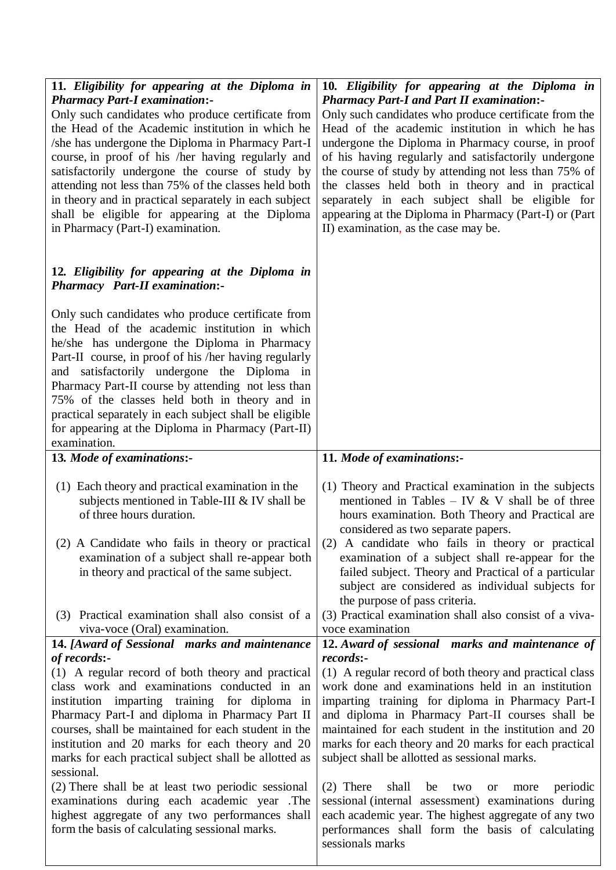| 11. Eligibility for appearing at the Diploma in<br><b>Pharmacy Part-I examination:-</b>                 | 10. Eligibility for appearing at the Diploma in<br><b>Pharmacy Part-I and Part II examination:-</b>       |
|---------------------------------------------------------------------------------------------------------|-----------------------------------------------------------------------------------------------------------|
| Only such candidates who produce certificate from                                                       | Only such candidates who produce certificate from the                                                     |
| the Head of the Academic institution in which he                                                        | Head of the academic institution in which he has                                                          |
| /she has undergone the Diploma in Pharmacy Part-I                                                       | undergone the Diploma in Pharmacy course, in proof                                                        |
| course, in proof of his /her having regularly and                                                       | of his having regularly and satisfactorily undergone                                                      |
| satisfactorily undergone the course of study by                                                         | the course of study by attending not less than 75% of                                                     |
| attending not less than 75% of the classes held both                                                    | the classes held both in theory and in practical                                                          |
| in theory and in practical separately in each subject                                                   | separately in each subject shall be eligible for                                                          |
| shall be eligible for appearing at the Diploma<br>in Pharmacy (Part-I) examination.                     | appearing at the Diploma in Pharmacy (Part-I) or (Part                                                    |
|                                                                                                         | II) examination, as the case may be.                                                                      |
| 12. Eligibility for appearing at the Diploma in<br><b>Pharmacy</b> Part-II examination:-                |                                                                                                           |
|                                                                                                         |                                                                                                           |
| Only such candidates who produce certificate from                                                       |                                                                                                           |
| the Head of the academic institution in which<br>he/she has undergone the Diploma in Pharmacy           |                                                                                                           |
| Part-II course, in proof of his /her having regularly                                                   |                                                                                                           |
| and satisfactorily undergone the Diploma in                                                             |                                                                                                           |
| Pharmacy Part-II course by attending not less than                                                      |                                                                                                           |
| 75% of the classes held both in theory and in                                                           |                                                                                                           |
| practical separately in each subject shall be eligible                                                  |                                                                                                           |
| for appearing at the Diploma in Pharmacy (Part-II)<br>examination.                                      |                                                                                                           |
| 13. Mode of examinations:-                                                                              | 11. Mode of examinations:-                                                                                |
|                                                                                                         |                                                                                                           |
| (1) Each theory and practical examination in the                                                        | (1) Theory and Practical examination in the subjects                                                      |
| subjects mentioned in Table-III & IV shall be                                                           | mentioned in Tables – IV & V shall be of three                                                            |
| of three hours duration.                                                                                | hours examination. Both Theory and Practical are<br>considered as two separate papers.                    |
| (2) A Candidate who fails in theory or practical                                                        | (2) A candidate who fails in theory or practical                                                          |
| examination of a subject shall re-appear both                                                           | examination of a subject shall re-appear for the                                                          |
| in theory and practical of the same subject.                                                            | failed subject. Theory and Practical of a particular                                                      |
|                                                                                                         | subject are considered as individual subjects for                                                         |
|                                                                                                         | the purpose of pass criteria.                                                                             |
| (3) Practical examination shall also consist of a                                                       | (3) Practical examination shall also consist of a viva-                                                   |
| viva-voce (Oral) examination.<br>14. [Award of Sessional marks and maintenance                          | voce examination<br>12. Award of sessional marks and maintenance of                                       |
| of records:-                                                                                            | records:-                                                                                                 |
| (1) A regular record of both theory and practical                                                       | (1) A regular record of both theory and practical class                                                   |
| class work and examinations conducted in an                                                             | work done and examinations held in an institution                                                         |
| institution imparting training for diploma in                                                           | imparting training for diploma in Pharmacy Part-I                                                         |
| Pharmacy Part-I and diploma in Pharmacy Part II<br>courses, shall be maintained for each student in the | and diploma in Pharmacy Part-II courses shall be<br>maintained for each student in the institution and 20 |
| institution and 20 marks for each theory and 20                                                         | marks for each theory and 20 marks for each practical                                                     |
| marks for each practical subject shall be allotted as                                                   | subject shall be allotted as sessional marks.                                                             |
| sessional.                                                                                              |                                                                                                           |
| (2) There shall be at least two periodic sessional                                                      | $(2)$ There<br>shall<br>be<br>periodic<br>two<br>more<br><b>or</b>                                        |
| examinations during each academic year .The                                                             | sessional (internal assessment) examinations during                                                       |
| highest aggregate of any two performances shall                                                         | each academic year. The highest aggregate of any two                                                      |
| form the basis of calculating sessional marks.                                                          | performances shall form the basis of calculating                                                          |
|                                                                                                         | sessionals marks                                                                                          |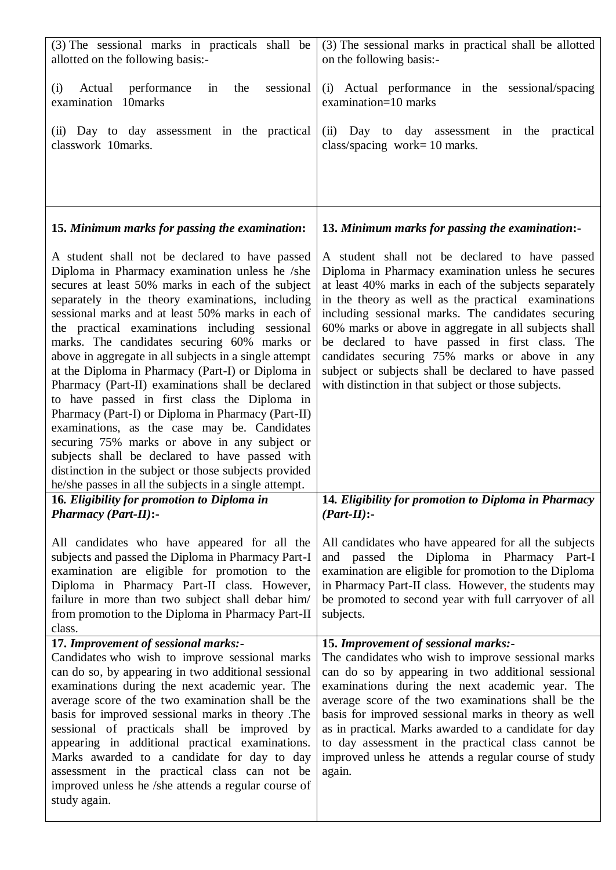| (3) The sessional marks in practicals shall be<br>allotted on the following basis:-                                                                                                                                                                                                                                                                                                                                                                                                                                                                                                                                                                                                                                                                                                                                                                                                                             | (3) The sessional marks in practical shall be allotted<br>on the following basis:-                                                                                                                                                                                                                                                                                                                                                                                                                                                                   |
|-----------------------------------------------------------------------------------------------------------------------------------------------------------------------------------------------------------------------------------------------------------------------------------------------------------------------------------------------------------------------------------------------------------------------------------------------------------------------------------------------------------------------------------------------------------------------------------------------------------------------------------------------------------------------------------------------------------------------------------------------------------------------------------------------------------------------------------------------------------------------------------------------------------------|------------------------------------------------------------------------------------------------------------------------------------------------------------------------------------------------------------------------------------------------------------------------------------------------------------------------------------------------------------------------------------------------------------------------------------------------------------------------------------------------------------------------------------------------------|
| sessional<br>(i)<br>Actual<br>performance<br>the<br>in<br>examination 10marks                                                                                                                                                                                                                                                                                                                                                                                                                                                                                                                                                                                                                                                                                                                                                                                                                                   | Actual performance in the sessional/spacing<br>(i)<br>examination=10 marks                                                                                                                                                                                                                                                                                                                                                                                                                                                                           |
| (ii) Day to day assessment in the practical<br>classwork 10marks.                                                                                                                                                                                                                                                                                                                                                                                                                                                                                                                                                                                                                                                                                                                                                                                                                                               | Day to day assessment in the practical<br>(ii)<br>class/spacing work= $10$ marks.                                                                                                                                                                                                                                                                                                                                                                                                                                                                    |
| 15. Minimum marks for passing the examination:                                                                                                                                                                                                                                                                                                                                                                                                                                                                                                                                                                                                                                                                                                                                                                                                                                                                  | 13. Minimum marks for passing the examination:-                                                                                                                                                                                                                                                                                                                                                                                                                                                                                                      |
| A student shall not be declared to have passed<br>Diploma in Pharmacy examination unless he /she<br>secures at least 50% marks in each of the subject<br>separately in the theory examinations, including<br>sessional marks and at least 50% marks in each of<br>the practical examinations including sessional<br>marks. The candidates securing 60% marks or<br>above in aggregate in all subjects in a single attempt<br>at the Diploma in Pharmacy (Part-I) or Diploma in<br>Pharmacy (Part-II) examinations shall be declared<br>to have passed in first class the Diploma in<br>Pharmacy (Part-I) or Diploma in Pharmacy (Part-II)<br>examinations, as the case may be. Candidates<br>securing 75% marks or above in any subject or<br>subjects shall be declared to have passed with<br>distinction in the subject or those subjects provided<br>he/she passes in all the subjects in a single attempt. | A student shall not be declared to have passed<br>Diploma in Pharmacy examination unless he secures<br>at least 40% marks in each of the subjects separately<br>in the theory as well as the practical examinations<br>including sessional marks. The candidates securing<br>60% marks or above in aggregate in all subjects shall<br>be declared to have passed in first class. The<br>candidates securing 75% marks or above in any<br>subject or subjects shall be declared to have passed<br>with distinction in that subject or those subjects. |
| 16. Eligibility for promotion to Diploma in<br><b>Pharmacy (Part-II):-</b>                                                                                                                                                                                                                                                                                                                                                                                                                                                                                                                                                                                                                                                                                                                                                                                                                                      | 14. Eligibility for promotion to Diploma in Pharmacy<br>$(Part-II):$                                                                                                                                                                                                                                                                                                                                                                                                                                                                                 |
| All candidates who have appeared for all the<br>subjects and passed the Diploma in Pharmacy Part-I<br>examination are eligible for promotion to the<br>Diploma in Pharmacy Part-II class. However,<br>failure in more than two subject shall debar him/<br>from promotion to the Diploma in Pharmacy Part-II<br>class.                                                                                                                                                                                                                                                                                                                                                                                                                                                                                                                                                                                          | All candidates who have appeared for all the subjects<br>and passed the Diploma in Pharmacy Part-I<br>examination are eligible for promotion to the Diploma<br>in Pharmacy Part-II class. However, the students may<br>be promoted to second year with full carryover of all<br>subjects.                                                                                                                                                                                                                                                            |
| 17. Improvement of sessional marks:-<br>Candidates who wish to improve sessional marks<br>can do so, by appearing in two additional sessional<br>examinations during the next academic year. The<br>average score of the two examination shall be the<br>basis for improved sessional marks in theory. The<br>sessional of practicals shall be improved by<br>appearing in additional practical examinations.<br>Marks awarded to a candidate for day to day<br>assessment in the practical class can not be<br>improved unless he /she attends a regular course of<br>study again.                                                                                                                                                                                                                                                                                                                             | 15. Improvement of sessional marks:-<br>The candidates who wish to improve sessional marks<br>can do so by appearing in two additional sessional<br>examinations during the next academic year. The<br>average score of the two examinations shall be the<br>basis for improved sessional marks in theory as well<br>as in practical. Marks awarded to a candidate for day<br>to day assessment in the practical class cannot be<br>improved unless he attends a regular course of study<br>again.                                                   |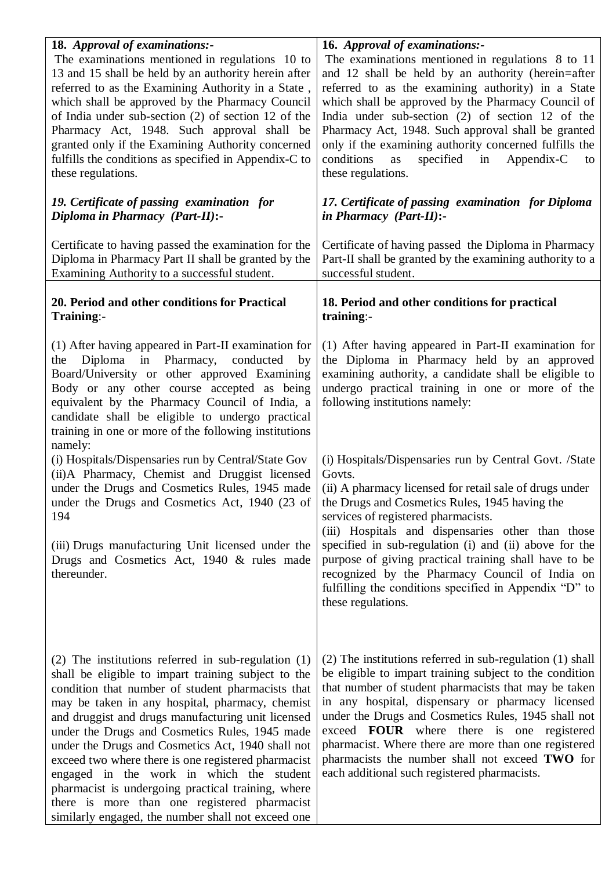| 18. Approval of examinations:-<br>The examinations mentioned in regulations 10 to<br>13 and 15 shall be held by an authority herein after<br>referred to as the Examining Authority in a State,<br>which shall be approved by the Pharmacy Council<br>of India under sub-section (2) of section 12 of the<br>Pharmacy Act, 1948. Such approval shall be<br>granted only if the Examining Authority concerned<br>fulfills the conditions as specified in Appendix-C to<br>these regulations.                                                                                                                                                        | 16. Approval of examinations:-<br>The examinations mentioned in regulations 8 to 11<br>and 12 shall be held by an authority (herein=after<br>referred to as the examining authority) in a State<br>which shall be approved by the Pharmacy Council of<br>India under sub-section $(2)$ of section 12 of the<br>Pharmacy Act, 1948. Such approval shall be granted<br>only if the examining authority concerned fulfills the<br>conditions<br>specified<br>in<br>Appendix-C<br>as<br>to<br>these regulations. |
|----------------------------------------------------------------------------------------------------------------------------------------------------------------------------------------------------------------------------------------------------------------------------------------------------------------------------------------------------------------------------------------------------------------------------------------------------------------------------------------------------------------------------------------------------------------------------------------------------------------------------------------------------|--------------------------------------------------------------------------------------------------------------------------------------------------------------------------------------------------------------------------------------------------------------------------------------------------------------------------------------------------------------------------------------------------------------------------------------------------------------------------------------------------------------|
| 19. Certificate of passing examination for<br>Diploma in Pharmacy (Part-II):-                                                                                                                                                                                                                                                                                                                                                                                                                                                                                                                                                                      | 17. Certificate of passing examination for Diploma<br>in Pharmacy (Part-II):-                                                                                                                                                                                                                                                                                                                                                                                                                                |
| Certificate to having passed the examination for the<br>Diploma in Pharmacy Part II shall be granted by the<br>Examining Authority to a successful student.                                                                                                                                                                                                                                                                                                                                                                                                                                                                                        | Certificate of having passed the Diploma in Pharmacy<br>Part-II shall be granted by the examining authority to a<br>successful student.                                                                                                                                                                                                                                                                                                                                                                      |
| 20. Period and other conditions for Practical<br>Training:-                                                                                                                                                                                                                                                                                                                                                                                                                                                                                                                                                                                        | 18. Period and other conditions for practical<br>training:-                                                                                                                                                                                                                                                                                                                                                                                                                                                  |
| (1) After having appeared in Part-II examination for<br>Diploma in Pharmacy,<br>conducted<br>by<br>the<br>Board/University or other approved Examining<br>Body or any other course accepted as being<br>equivalent by the Pharmacy Council of India, a<br>candidate shall be eligible to undergo practical<br>training in one or more of the following institutions<br>namely:                                                                                                                                                                                                                                                                     | (1) After having appeared in Part-II examination for<br>the Diploma in Pharmacy held by an approved<br>examining authority, a candidate shall be eligible to<br>undergo practical training in one or more of the<br>following institutions namely:                                                                                                                                                                                                                                                           |
| (i) Hospitals/Dispensaries run by Central/State Gov<br>(ii)A Pharmacy, Chemist and Druggist licensed<br>under the Drugs and Cosmetics Rules, 1945 made<br>under the Drugs and Cosmetics Act, 1940 (23 of<br>194                                                                                                                                                                                                                                                                                                                                                                                                                                    | (i) Hospitals/Dispensaries run by Central Govt. /State<br>Govts.<br>(ii) A pharmacy licensed for retail sale of drugs under<br>the Drugs and Cosmetics Rules, 1945 having the<br>services of registered pharmacists.<br>(iii) Hospitals and dispensaries other than those                                                                                                                                                                                                                                    |
| (iii) Drugs manufacturing Unit licensed under the<br>Drugs and Cosmetics Act, 1940 & rules made<br>thereunder.                                                                                                                                                                                                                                                                                                                                                                                                                                                                                                                                     | specified in sub-regulation (i) and (ii) above for the<br>purpose of giving practical training shall have to be<br>recognized by the Pharmacy Council of India on<br>fulfilling the conditions specified in Appendix "D" to<br>these regulations.                                                                                                                                                                                                                                                            |
| $(2)$ The institutions referred in sub-regulation $(1)$<br>shall be eligible to impart training subject to the<br>condition that number of student pharmacists that<br>may be taken in any hospital, pharmacy, chemist<br>and druggist and drugs manufacturing unit licensed<br>under the Drugs and Cosmetics Rules, 1945 made<br>under the Drugs and Cosmetics Act, 1940 shall not<br>exceed two where there is one registered pharmacist<br>engaged in the work in which the student<br>pharmacist is undergoing practical training, where<br>there is more than one registered pharmacist<br>similarly engaged, the number shall not exceed one | (2) The institutions referred in sub-regulation (1) shall<br>be eligible to impart training subject to the condition<br>that number of student pharmacists that may be taken<br>in any hospital, dispensary or pharmacy licensed<br>under the Drugs and Cosmetics Rules, 1945 shall not<br>exceed <b>FOUR</b> where there is one registered<br>pharmacist. Where there are more than one registered<br>pharmacists the number shall not exceed TWO for<br>each additional such registered pharmacists.       |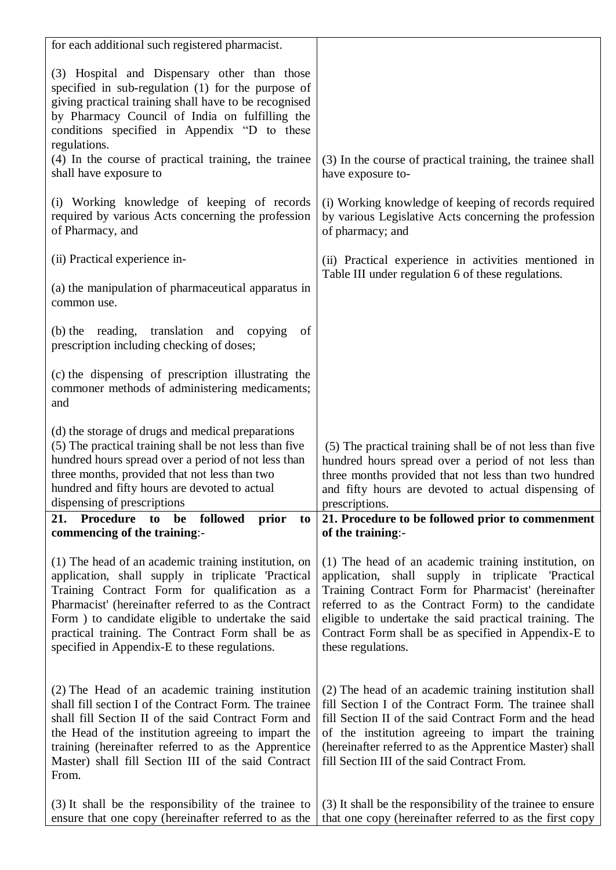| for each additional such registered pharmacist.                                                                                                                                                                                                                                                                                                                                 |                                                                                                                                                                                                                                                                                                                                                                 |
|---------------------------------------------------------------------------------------------------------------------------------------------------------------------------------------------------------------------------------------------------------------------------------------------------------------------------------------------------------------------------------|-----------------------------------------------------------------------------------------------------------------------------------------------------------------------------------------------------------------------------------------------------------------------------------------------------------------------------------------------------------------|
| (3) Hospital and Dispensary other than those<br>specified in sub-regulation (1) for the purpose of<br>giving practical training shall have to be recognised<br>by Pharmacy Council of India on fulfilling the<br>conditions specified in Appendix "D to these<br>regulations.                                                                                                   |                                                                                                                                                                                                                                                                                                                                                                 |
| (4) In the course of practical training, the trainee<br>shall have exposure to                                                                                                                                                                                                                                                                                                  | (3) In the course of practical training, the trainee shall<br>have exposure to-                                                                                                                                                                                                                                                                                 |
| (i) Working knowledge of keeping of records<br>required by various Acts concerning the profession<br>of Pharmacy, and                                                                                                                                                                                                                                                           | (i) Working knowledge of keeping of records required<br>by various Legislative Acts concerning the profession<br>of pharmacy; and                                                                                                                                                                                                                               |
| (ii) Practical experience in-                                                                                                                                                                                                                                                                                                                                                   | (ii) Practical experience in activities mentioned in<br>Table III under regulation 6 of these regulations.                                                                                                                                                                                                                                                      |
| (a) the manipulation of pharmaceutical apparatus in<br>common use.                                                                                                                                                                                                                                                                                                              |                                                                                                                                                                                                                                                                                                                                                                 |
| (b) the reading, translation and copying<br>of<br>prescription including checking of doses;                                                                                                                                                                                                                                                                                     |                                                                                                                                                                                                                                                                                                                                                                 |
| (c) the dispensing of prescription illustrating the<br>commoner methods of administering medicaments;<br>and                                                                                                                                                                                                                                                                    |                                                                                                                                                                                                                                                                                                                                                                 |
|                                                                                                                                                                                                                                                                                                                                                                                 |                                                                                                                                                                                                                                                                                                                                                                 |
| (d) the storage of drugs and medical preparations<br>(5) The practical training shall be not less than five<br>hundred hours spread over a period of not less than<br>three months, provided that not less than two<br>hundred and fifty hours are devoted to actual<br>dispensing of prescriptions                                                                             | (5) The practical training shall be of not less than five<br>hundred hours spread over a period of not less than<br>three months provided that not less than two hundred<br>and fifty hours are devoted to actual dispensing of<br>prescriptions.                                                                                                               |
| <b>Procedure</b><br>followed<br>21.<br>to<br>prior<br>be<br>to<br>commencing of the training:-                                                                                                                                                                                                                                                                                  | 21. Procedure to be followed prior to commenment<br>of the training:-                                                                                                                                                                                                                                                                                           |
| (1) The head of an academic training institution, on<br>application, shall supply in triplicate 'Practical<br>Training Contract Form for qualification as a<br>Pharmacist' (hereinafter referred to as the Contract<br>Form ) to candidate eligible to undertake the said<br>practical training. The Contract Form shall be as<br>specified in Appendix-E to these regulations. | (1) The head of an academic training institution, on<br>application, shall supply in triplicate 'Practical<br>Training Contract Form for Pharmacist' (hereinafter<br>referred to as the Contract Form) to the candidate<br>eligible to undertake the said practical training. The<br>Contract Form shall be as specified in Appendix-E to<br>these regulations. |
| (2) The Head of an academic training institution<br>shall fill section I of the Contract Form. The trainee<br>shall fill Section II of the said Contract Form and<br>the Head of the institution agreeing to impart the<br>training (hereinafter referred to as the Apprentice<br>Master) shall fill Section III of the said Contract<br>From.                                  | (2) The head of an academic training institution shall<br>fill Section I of the Contract Form. The trainee shall<br>fill Section II of the said Contract Form and the head<br>of the institution agreeing to impart the training<br>(hereinafter referred to as the Apprentice Master) shall<br>fill Section III of the said Contract From.                     |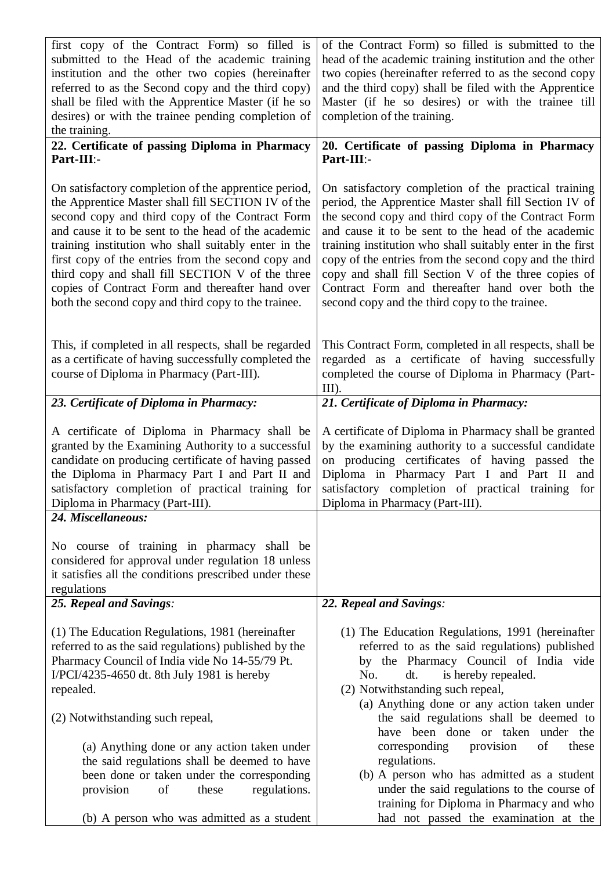| first copy of the Contract Form) so filled is<br>submitted to the Head of the academic training<br>institution and the other two copies (hereinafter<br>referred to as the Second copy and the third copy)<br>shall be filed with the Apprentice Master (if he so<br>desires) or with the trainee pending completion of<br>the training.                                                                                                                                                          | of the Contract Form) so filled is submitted to the<br>head of the academic training institution and the other<br>two copies (hereinafter referred to as the second copy<br>and the third copy) shall be filed with the Apprentice<br>Master (if he so desires) or with the trainee till<br>completion of the training.                                                                                                                                                                                           |
|---------------------------------------------------------------------------------------------------------------------------------------------------------------------------------------------------------------------------------------------------------------------------------------------------------------------------------------------------------------------------------------------------------------------------------------------------------------------------------------------------|-------------------------------------------------------------------------------------------------------------------------------------------------------------------------------------------------------------------------------------------------------------------------------------------------------------------------------------------------------------------------------------------------------------------------------------------------------------------------------------------------------------------|
| 22. Certificate of passing Diploma in Pharmacy<br>Part-III:-                                                                                                                                                                                                                                                                                                                                                                                                                                      | 20. Certificate of passing Diploma in Pharmacy<br>Part-III:-                                                                                                                                                                                                                                                                                                                                                                                                                                                      |
| On satisfactory completion of the apprentice period,<br>the Apprentice Master shall fill SECTION IV of the<br>second copy and third copy of the Contract Form<br>and cause it to be sent to the head of the academic<br>training institution who shall suitably enter in the<br>first copy of the entries from the second copy and<br>third copy and shall fill SECTION V of the three<br>copies of Contract Form and thereafter hand over<br>both the second copy and third copy to the trainee. | On satisfactory completion of the practical training<br>period, the Apprentice Master shall fill Section IV of<br>the second copy and third copy of the Contract Form<br>and cause it to be sent to the head of the academic<br>training institution who shall suitably enter in the first<br>copy of the entries from the second copy and the third<br>copy and shall fill Section V of the three copies of<br>Contract Form and thereafter hand over both the<br>second copy and the third copy to the trainee. |
| This, if completed in all respects, shall be regarded<br>as a certificate of having successfully completed the<br>course of Diploma in Pharmacy (Part-III).                                                                                                                                                                                                                                                                                                                                       | This Contract Form, completed in all respects, shall be<br>regarded as a certificate of having successfully<br>completed the course of Diploma in Pharmacy (Part-<br>$III$ ).                                                                                                                                                                                                                                                                                                                                     |
| 23. Certificate of Diploma in Pharmacy:                                                                                                                                                                                                                                                                                                                                                                                                                                                           | 21. Certificate of Diploma in Pharmacy:                                                                                                                                                                                                                                                                                                                                                                                                                                                                           |
| A certificate of Diploma in Pharmacy shall be<br>granted by the Examining Authority to a successful<br>candidate on producing certificate of having passed<br>the Diploma in Pharmacy Part I and Part II and<br>satisfactory completion of practical training for<br>Diploma in Pharmacy (Part-III).                                                                                                                                                                                              | A certificate of Diploma in Pharmacy shall be granted<br>by the examining authority to a successful candidate<br>on producing certificates of having passed the<br>Diploma in Pharmacy Part I and Part II<br>and<br>satisfactory completion of practical training for<br>Diploma in Pharmacy (Part-III).                                                                                                                                                                                                          |
| 24. Miscellaneous:                                                                                                                                                                                                                                                                                                                                                                                                                                                                                |                                                                                                                                                                                                                                                                                                                                                                                                                                                                                                                   |
| No course of training in pharmacy shall be<br>considered for approval under regulation 18 unless<br>it satisfies all the conditions prescribed under these<br>regulations                                                                                                                                                                                                                                                                                                                         |                                                                                                                                                                                                                                                                                                                                                                                                                                                                                                                   |
| 25. Repeal and Savings:                                                                                                                                                                                                                                                                                                                                                                                                                                                                           | 22. Repeal and Savings:                                                                                                                                                                                                                                                                                                                                                                                                                                                                                           |
| (1) The Education Regulations, 1981 (hereinafter<br>referred to as the said regulations) published by the<br>Pharmacy Council of India vide No 14-55/79 Pt.<br>I/PCI/4235-4650 dt. 8th July 1981 is hereby<br>repealed.                                                                                                                                                                                                                                                                           | (1) The Education Regulations, 1991 (hereinafter<br>referred to as the said regulations) published<br>by the Pharmacy Council of India vide<br>No.<br>dt.<br>is hereby repealed.<br>(2) Notwithstanding such repeal,<br>(a) Anything done or any action taken under                                                                                                                                                                                                                                               |
| (2) Notwithstanding such repeal,                                                                                                                                                                                                                                                                                                                                                                                                                                                                  | the said regulations shall be deemed to<br>have been done or taken under the                                                                                                                                                                                                                                                                                                                                                                                                                                      |
| (a) Anything done or any action taken under<br>the said regulations shall be deemed to have<br>been done or taken under the corresponding<br>provision<br>of<br>regulations.<br>these                                                                                                                                                                                                                                                                                                             | of<br>corresponding<br>provision<br>these<br>regulations.<br>(b) A person who has admitted as a student<br>under the said regulations to the course of<br>training for Diploma in Pharmacy and who                                                                                                                                                                                                                                                                                                                |
| (b) A person who was admitted as a student                                                                                                                                                                                                                                                                                                                                                                                                                                                        | had not passed the examination at the                                                                                                                                                                                                                                                                                                                                                                                                                                                                             |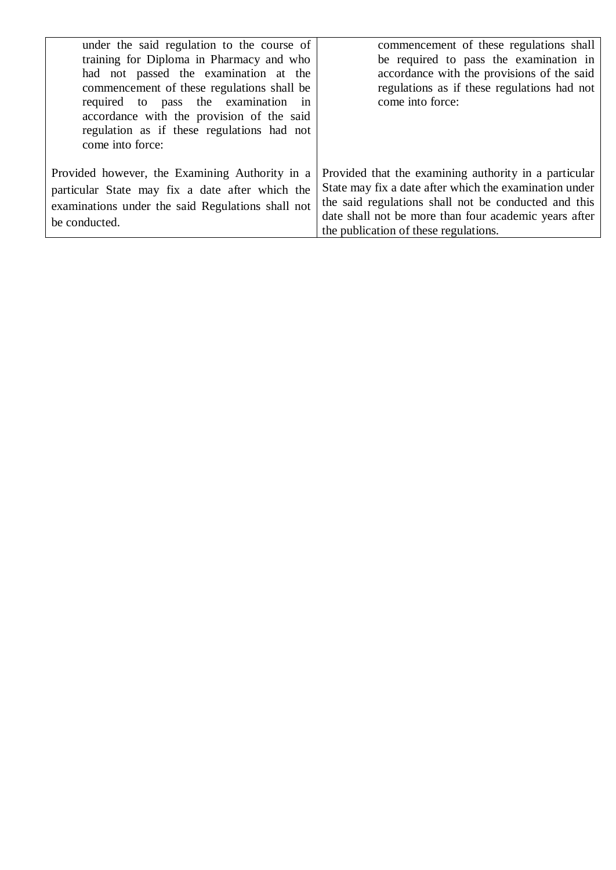| under the said regulation to the course of<br>training for Diploma in Pharmacy and who<br>had not passed the examination at the<br>commencement of these regulations shall be<br>required to pass the examination in<br>accordance with the provision of the said<br>regulation as if these regulations had not<br>come into force: | commencement of these regulations shall<br>be required to pass the examination in<br>accordance with the provisions of the said<br>regulations as if these regulations had not<br>come into force:                                                                        |
|-------------------------------------------------------------------------------------------------------------------------------------------------------------------------------------------------------------------------------------------------------------------------------------------------------------------------------------|---------------------------------------------------------------------------------------------------------------------------------------------------------------------------------------------------------------------------------------------------------------------------|
| Provided however, the Examining Authority in a<br>particular State may fix a date after which the<br>examinations under the said Regulations shall not<br>be conducted.                                                                                                                                                             | Provided that the examining authority in a particular<br>State may fix a date after which the examination under<br>the said regulations shall not be conducted and this<br>date shall not be more than four academic years after<br>the publication of these regulations. |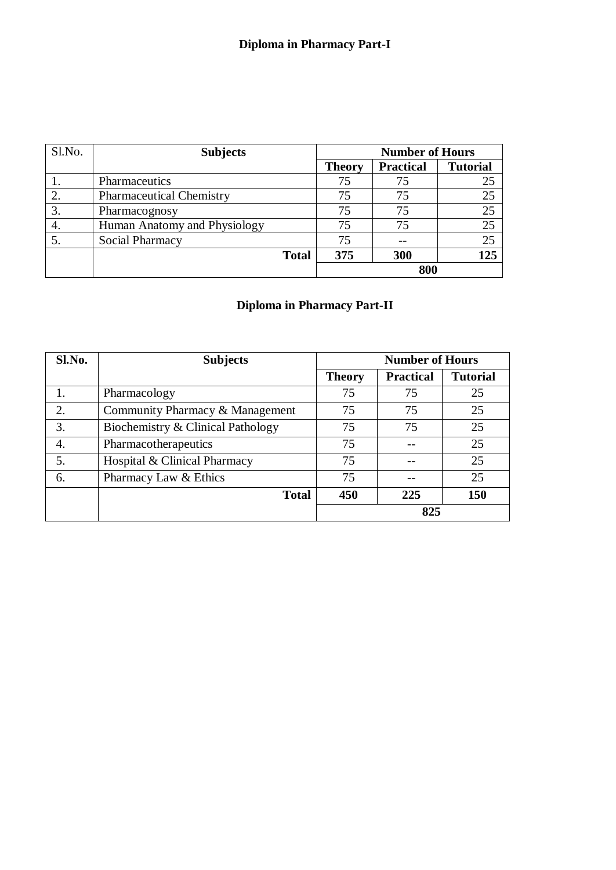| Sl.No. | <b>Subjects</b>                 | <b>Number of Hours</b> |               |                  |                 |
|--------|---------------------------------|------------------------|---------------|------------------|-----------------|
|        |                                 |                        | <b>Theory</b> | <b>Practical</b> | <b>Tutorial</b> |
|        | Pharmaceutics                   |                        | 75            | 75               | 25              |
| 2.     | <b>Pharmaceutical Chemistry</b> |                        | 75            | 75               | 25              |
| 3.     | Pharmacognosy                   |                        | 75            | 75               | 25              |
| 4.     | Human Anatomy and Physiology    |                        | 75            | 75               | 25              |
|        | Social Pharmacy                 |                        | 75            |                  | 25              |
|        | <b>Total</b>                    |                        | 375           | 300              | 125             |
|        |                                 |                        | 800           |                  |                 |

## **Diploma in Pharmacy Part-II**

| Sl.No. | <b>Subjects</b>                   | <b>Number of Hours</b> |                  |                 |  |
|--------|-----------------------------------|------------------------|------------------|-----------------|--|
|        |                                   | <b>Theory</b>          | <b>Practical</b> | <b>Tutorial</b> |  |
|        | Pharmacology                      | 75                     | 75               | 25              |  |
| 2.     | Community Pharmacy & Management   | 75                     | 75               | 25              |  |
| 3.     | Biochemistry & Clinical Pathology | 75                     | 75               | 25              |  |
| 4.     | Pharmacotherapeutics              | 75                     |                  | 25              |  |
| 5.     | Hospital & Clinical Pharmacy      | 75                     |                  | 25              |  |
| 6.     | Pharmacy Law & Ethics             | 75                     |                  | 25              |  |
|        | <b>Total</b>                      | 450                    | 225              | 150             |  |
|        |                                   | 825                    |                  |                 |  |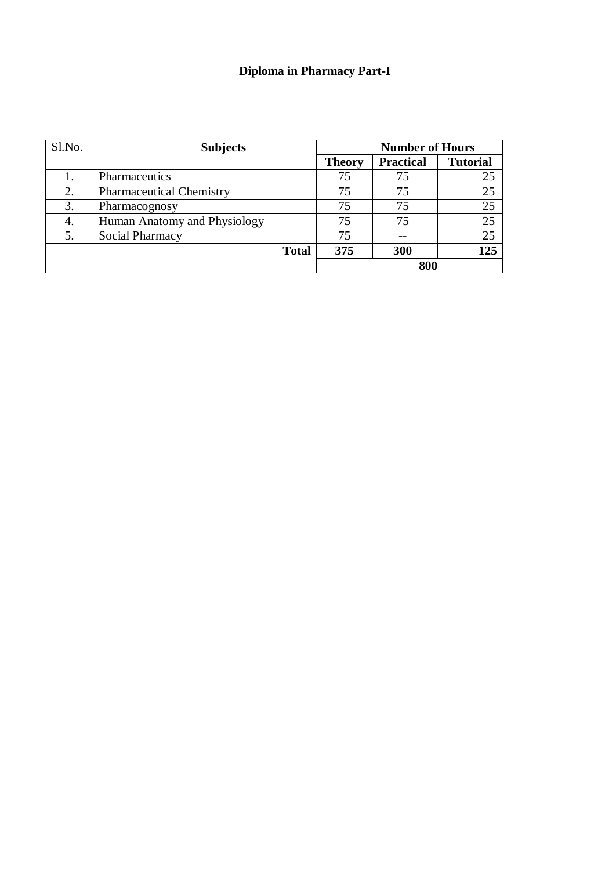## **Diploma in Pharmacy Part-I**

| Sl.No. | <b>Subjects</b>                 | <b>Number of Hours</b> |                  |                 |  |
|--------|---------------------------------|------------------------|------------------|-----------------|--|
|        |                                 | <b>Theory</b>          | <b>Practical</b> | <b>Tutorial</b> |  |
|        | Pharmaceutics                   | 75                     | 75               | 25              |  |
| 2.     | <b>Pharmaceutical Chemistry</b> | 75                     | 75               | 25              |  |
| 3.     | Pharmacognosy                   | 75                     | 75               | 25              |  |
| 4.     | Human Anatomy and Physiology    | 75                     | 75               | 25              |  |
| 5.     | Social Pharmacy                 | 75                     |                  | 25              |  |
|        | <b>Total</b>                    | 375                    | 300              | 125             |  |
|        |                                 |                        | 800              |                 |  |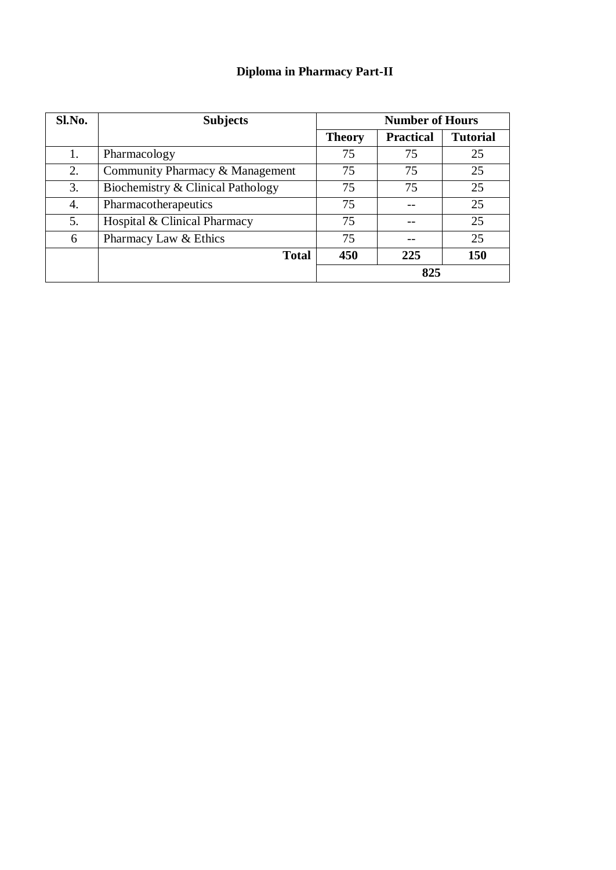## **Diploma in Pharmacy Part-II**

| Sl.No. | <b>Subjects</b>                   | <b>Number of Hours</b> |                  |                 |  |
|--------|-----------------------------------|------------------------|------------------|-----------------|--|
|        |                                   | <b>Theory</b>          | <b>Practical</b> | <b>Tutorial</b> |  |
| 1.     | Pharmacology                      | 75                     | 75               | 25              |  |
| 2.     | Community Pharmacy & Management   | 75                     | 75               | 25              |  |
| 3.     | Biochemistry & Clinical Pathology | 75                     | 75               | 25              |  |
| 4.     | Pharmacotherapeutics              | 75                     |                  | 25              |  |
| 5.     | Hospital & Clinical Pharmacy      | 75                     |                  | 25              |  |
| 6      | Pharmacy Law & Ethics             | 75                     |                  | 25              |  |
|        | <b>Total</b>                      | 450                    | 225              | 150             |  |
|        |                                   | 825                    |                  |                 |  |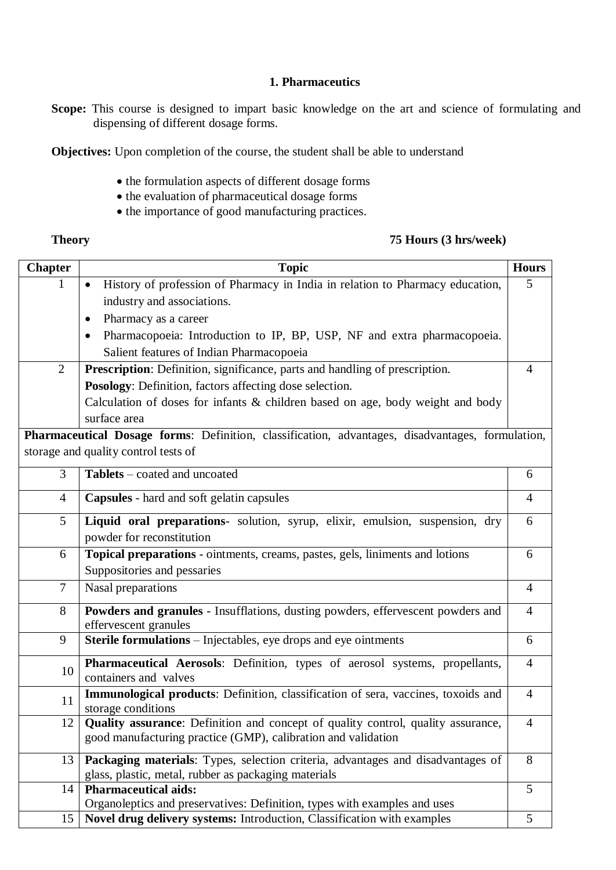#### **1. Pharmaceutics**

**Scope:** This course is designed to impart basic knowledge on the art and science of formulating and dispensing of different dosage forms.

**Objectives:** Upon completion of the course, the student shall be able to understand

- $\bullet$  the formulation aspects of different dosage forms
- the evaluation of pharmaceutical dosage forms
- the importance of good manufacturing practices.

#### **Theory 75 Hours (3 hrs/week)**

| <b>Chapter</b> | <b>Topic</b>                                                                                                                                      | <b>Hours</b>   |
|----------------|---------------------------------------------------------------------------------------------------------------------------------------------------|----------------|
|                | History of profession of Pharmacy in India in relation to Pharmacy education,                                                                     | 5              |
|                | industry and associations.                                                                                                                        |                |
|                | Pharmacy as a career                                                                                                                              |                |
|                | Pharmacopoeia: Introduction to IP, BP, USP, NF and extra pharmacopoeia.<br>$\bullet$                                                              |                |
|                | Salient features of Indian Pharmacopoeia                                                                                                          |                |
| $\overline{2}$ | Prescription: Definition, significance, parts and handling of prescription.                                                                       | 4              |
|                | Posology: Definition, factors affecting dose selection.                                                                                           |                |
|                | Calculation of doses for infants & children based on age, body weight and body<br>surface area                                                    |                |
|                | Pharmaceutical Dosage forms: Definition, classification, advantages, disadvantages, formulation,                                                  |                |
|                | storage and quality control tests of                                                                                                              |                |
| 3              | Tablets – coated and uncoated                                                                                                                     | 6              |
| $\overline{4}$ | Capsules - hard and soft gelatin capsules                                                                                                         | $\overline{4}$ |
| 5              | Liquid oral preparations- solution, syrup, elixir, emulsion, suspension, dry<br>powder for reconstitution                                         | 6              |
| 6              | Topical preparations - ointments, creams, pastes, gels, liniments and lotions                                                                     | 6              |
|                | Suppositories and pessaries                                                                                                                       |                |
| $\tau$         | Nasal preparations                                                                                                                                | $\overline{4}$ |
| 8              | Powders and granules - Insufflations, dusting powders, effervescent powders and                                                                   | $\overline{4}$ |
|                | effervescent granules                                                                                                                             |                |
| 9              | <b>Sterile formulations</b> – Injectables, eye drops and eye ointments                                                                            | 6              |
| 10             | Pharmaceutical Aerosols: Definition, types of aerosol systems, propellants,<br>containers and valves                                              | $\overline{4}$ |
| 11             | Immunological products: Definition, classification of sera, vaccines, toxoids and<br>storage conditions                                           | $\overline{4}$ |
| 12             | Quality assurance: Definition and concept of quality control, quality assurance,<br>good manufacturing practice (GMP), calibration and validation | $\overline{4}$ |
| 13             | Packaging materials: Types, selection criteria, advantages and disadvantages of<br>glass, plastic, metal, rubber as packaging materials           | 8              |
| 14             | <b>Pharmaceutical aids:</b>                                                                                                                       | 5 <sup>5</sup> |
|                | Organoleptics and preservatives: Definition, types with examples and uses                                                                         |                |
| 15             | Novel drug delivery systems: Introduction, Classification with examples                                                                           | 5              |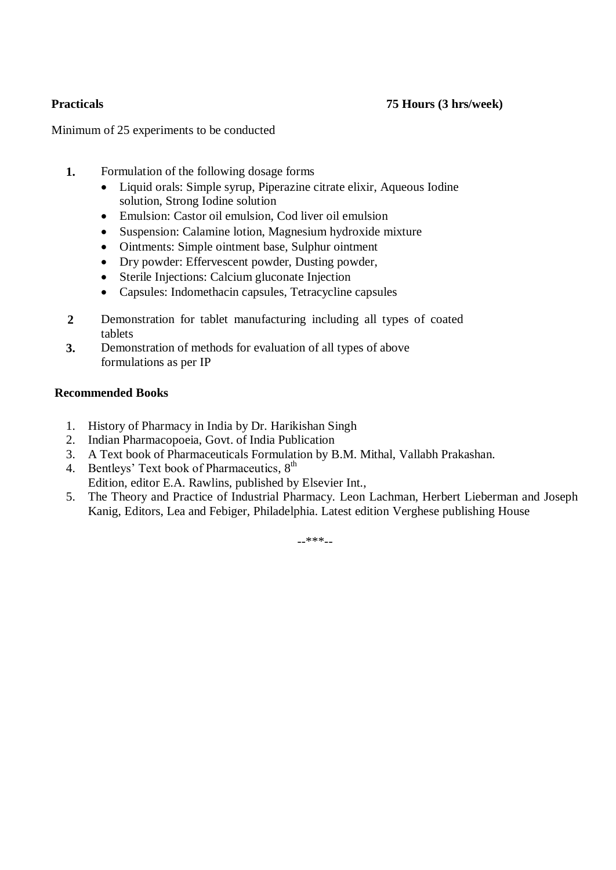Minimum of 25 experiments to be conducted

- **1.** Formulation of the following dosage forms
	- Liquid orals: Simple syrup, Piperazine citrate elixir, Aqueous Iodine solution, Strong Iodine solution
	- Emulsion: Castor oil emulsion, Cod liver oil emulsion
	- Suspension: Calamine lotion, Magnesium hydroxide mixture
	- Ointments: Simple ointment base, Sulphur ointment
	- Dry powder: Effervescent powder, Dusting powder,
	- Sterile Injections: Calcium gluconate Injection
	- Capsules: Indomethacin capsules, Tetracycline capsules
- **2** Demonstration for tablet manufacturing including all types of coated tablets
- **3.** Demonstration of methods for evaluation of all types of above formulations as per IP

### **Recommended Books**

- 1. History of Pharmacy in India by Dr. Harikishan Singh
- 2. Indian Pharmacopoeia, Govt. of India Publication
- 3. A Text book of Pharmaceuticals Formulation by B.M. Mithal, Vallabh Prakashan.
- 4. Bentleys' Text book of Pharmaceutics,  $8<sup>th</sup>$ Edition, editor E.A. Rawlins, published by Elsevier Int.,
- 5. The Theory and Practice of Industrial Pharmacy. Leon Lachman, Herbert Lieberman and Joseph Kanig, Editors, Lea and Febiger, Philadelphia. Latest edition Verghese publishing House

 $***$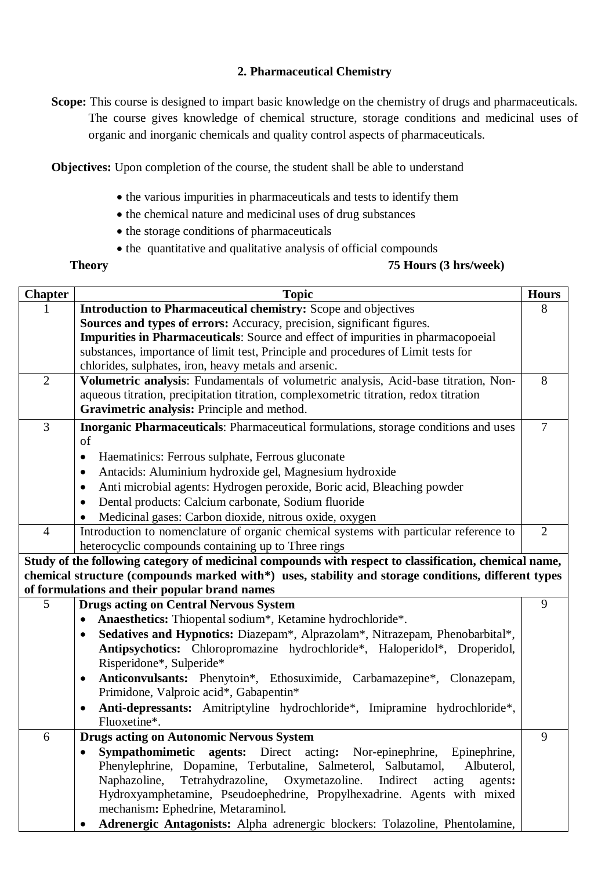### **2. Pharmaceutical Chemistry**

**Scope:** This course is designed to impart basic knowledge on the chemistry of drugs and pharmaceuticals. The course gives knowledge of chemical structure, storage conditions and medicinal uses of organic and inorganic chemicals and quality control aspects of pharmaceuticals.

**Objectives:** Upon completion of the course, the student shall be able to understand

- the various impurities in pharmaceuticals and tests to identify them
- the chemical nature and medicinal uses of drug substances
- the storage conditions of pharmaceuticals
- the quantitative and qualitative analysis of official compounds

#### **Theory 75 Hours (3 hrs/week)**

| <b>Chapter</b> | <b>Topic</b>                                                                                            | <b>Hours</b>   |
|----------------|---------------------------------------------------------------------------------------------------------|----------------|
|                | Introduction to Pharmaceutical chemistry: Scope and objectives                                          | 8              |
|                | Sources and types of errors: Accuracy, precision, significant figures.                                  |                |
|                | <b>Impurities in Pharmaceuticals:</b> Source and effect of impurities in pharmacopoeial                 |                |
|                | substances, importance of limit test, Principle and procedures of Limit tests for                       |                |
|                | chlorides, sulphates, iron, heavy metals and arsenic.                                                   |                |
| $\overline{2}$ | Volumetric analysis: Fundamentals of volumetric analysis, Acid-base titration, Non-                     | 8              |
|                | aqueous titration, precipitation titration, complexometric titration, redox titration                   |                |
|                | Gravimetric analysis: Principle and method.                                                             |                |
| $\overline{3}$ | Inorganic Pharmaceuticals: Pharmaceutical formulations, storage conditions and uses                     | $\overline{7}$ |
|                | of                                                                                                      |                |
|                | Haematinics: Ferrous sulphate, Ferrous gluconate<br>$\bullet$                                           |                |
|                | Antacids: Aluminium hydroxide gel, Magnesium hydroxide<br>٠                                             |                |
|                | Anti microbial agents: Hydrogen peroxide, Boric acid, Bleaching powder<br>٠                             |                |
|                | Dental products: Calcium carbonate, Sodium fluoride                                                     |                |
|                | Medicinal gases: Carbon dioxide, nitrous oxide, oxygen                                                  |                |
| $\overline{4}$ | Introduction to nomenclature of organic chemical systems with particular reference to                   | $\overline{2}$ |
|                | heterocyclic compounds containing up to Three rings                                                     |                |
|                | Study of the following category of medicinal compounds with respect to classification, chemical name,   |                |
|                | chemical structure (compounds marked with*) uses, stability and storage conditions, different types     |                |
|                | of formulations and their popular brand names                                                           |                |
| 5              | <b>Drugs acting on Central Nervous System</b>                                                           | 9              |
|                | Anaesthetics: Thiopental sodium*, Ketamine hydrochloride*.                                              |                |
|                | Sedatives and Hypnotics: Diazepam*, Alprazolam*, Nitrazepam, Phenobarbital*,                            |                |
|                | Antipsychotics: Chloropromazine hydrochloride*, Haloperidol*, Droperidol,                               |                |
|                | Risperidone*, Sulperide*                                                                                |                |
|                | Anticonvulsants: Phenytoin*, Ethosuximide, Carbamazepine*, Clonazepam,<br>$\bullet$                     |                |
|                | Primidone, Valproic acid*, Gabapentin*                                                                  |                |
|                | Anti-depressants: Amitriptyline hydrochloride*, Imipramine hydrochloride*,<br>$\bullet$<br>Fluoxetine*. |                |
| 6              | <b>Drugs acting on Autonomic Nervous System</b>                                                         | 9              |
|                | Sympathomimetic agents: Direct acting: Nor-epinephrine, Epinephrine,                                    |                |
|                | Phenylephrine, Dopamine, Terbutaline, Salmeterol, Salbutamol,<br>Albuterol,                             |                |
|                | Tetrahydrazoline, Oxymetazoline. Indirect<br>Naphazoline,<br>acting<br>agents:                          |                |
|                | Hydroxyamphetamine, Pseudoephedrine, Propylhexadrine. Agents with mixed                                 |                |
|                | mechanism: Ephedrine, Metaraminol.                                                                      |                |
|                | Adrenergic Antagonists: Alpha adrenergic blockers: Tolazoline, Phentolamine,                            |                |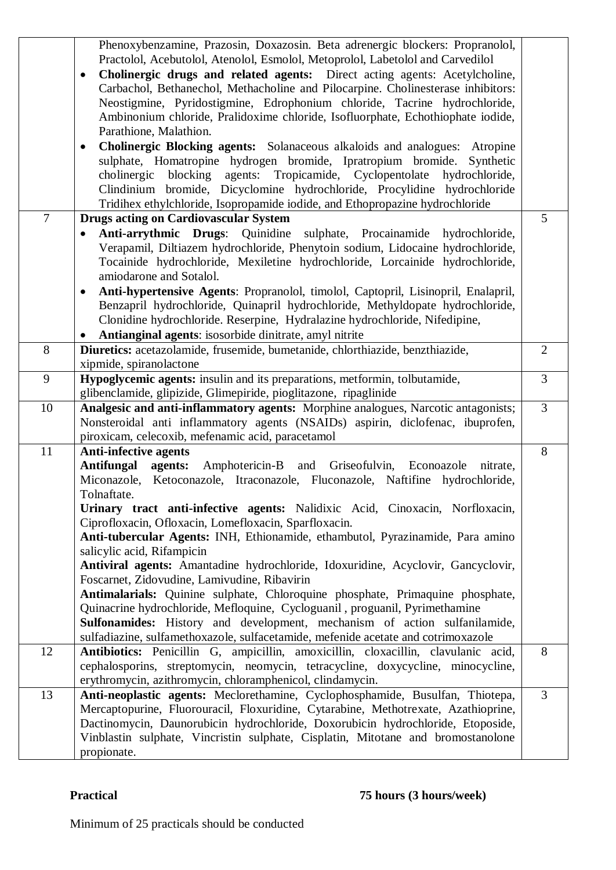|                | Phenoxybenzamine, Prazosin, Doxazosin. Beta adrenergic blockers: Propranolol,                   |                |
|----------------|-------------------------------------------------------------------------------------------------|----------------|
|                | Practolol, Acebutolol, Atenolol, Esmolol, Metoprolol, Labetolol and Carvedilol                  |                |
|                | Cholinergic drugs and related agents: Direct acting agents: Acetylcholine,<br>$\bullet$         |                |
|                | Carbachol, Bethanechol, Methacholine and Pilocarpine. Cholinesterase inhibitors:                |                |
|                | Neostigmine, Pyridostigmine, Edrophonium chloride, Tacrine hydrochloride,                       |                |
|                | Ambinonium chloride, Pralidoxime chloride, Isofluorphate, Echothiophate iodide,                 |                |
|                | Parathione, Malathion.                                                                          |                |
|                | Cholinergic Blocking agents: Solanaceous alkaloids and analogues:<br>Atropine<br>٠              |                |
|                | sulphate, Homatropine hydrogen bromide, Ipratropium bromide.<br>Synthetic                       |                |
|                | blocking agents: Tropicamide, Cyclopentolate<br>cholinergic<br>hydrochloride,                   |                |
|                | Clindinium bromide, Dicyclomine hydrochloride, Procylidine hydrochloride                        |                |
|                | Tridihex ethylchloride, Isopropamide iodide, and Ethopropazine hydrochloride                    |                |
| $\overline{7}$ | <b>Drugs acting on Cardiovascular System</b>                                                    | 5              |
|                | Anti-arrythmic Drugs: Quinidine sulphate, Procainamide hydrochloride,                           |                |
|                | Verapamil, Diltiazem hydrochloride, Phenytoin sodium, Lidocaine hydrochloride,                  |                |
|                | Tocainide hydrochloride, Mexiletine hydrochloride, Lorcainide hydrochloride,                    |                |
|                | amiodarone and Sotalol.                                                                         |                |
|                | Anti-hypertensive Agents: Propranolol, timolol, Captopril, Lisinopril, Enalapril,<br>$\bullet$  |                |
|                | Benzapril hydrochloride, Quinapril hydrochloride, Methyldopate hydrochloride,                   |                |
|                | Clonidine hydrochloride. Reserpine, Hydralazine hydrochloride, Nifedipine,                      |                |
|                | Antianginal agents: isosorbide dinitrate, amyl nitrite                                          |                |
| 8              | Diuretics: acetazolamide, frusemide, bumetanide, chlorthiazide, benzthiazide,                   | $\overline{2}$ |
|                | xipmide, spiranolactone                                                                         |                |
| 9              | Hypoglycemic agents: insulin and its preparations, metformin, tolbutamide,                      | $\overline{3}$ |
|                | glibenclamide, glipizide, Glimepiride, pioglitazone, ripaglinide                                |                |
|                |                                                                                                 |                |
| 10             | Analgesic and anti-inflammatory agents: Morphine analogues, Narcotic antagonists;               | $\overline{3}$ |
|                | Nonsteroidal anti inflammatory agents (NSAIDs) aspirin, diclofenac, ibuprofen,                  |                |
|                | piroxicam, celecoxib, mefenamic acid, paracetamol                                               |                |
| 11             | <b>Anti-infective agents</b>                                                                    | 8              |
|                | Antifungal<br>Amphotericin-B<br>Griseofulvin, Econoazole<br>agents:<br>and<br>nitrate,          |                |
|                | Miconazole, Ketoconazole, Itraconazole, Fluconazole, Naftifine hydrochloride,                   |                |
|                | Tolnaftate.                                                                                     |                |
|                | Urinary tract anti-infective agents: Nalidixic Acid, Cinoxacin, Norfloxacin,                    |                |
|                | Ciprofloxacin, Ofloxacin, Lomefloxacin, Sparfloxacin.                                           |                |
|                | Anti-tubercular Agents: INH, Ethionamide, ethambutol, Pyrazinamide, Para amino                  |                |
|                | salicylic acid, Rifampicin                                                                      |                |
|                | Antiviral agents: Amantadine hydrochloride, Idoxuridine, Acyclovir, Gancyclovir,                |                |
|                | Foscarnet, Zidovudine, Lamivudine, Ribavirin                                                    |                |
|                | Antimalarials: Quinine sulphate, Chloroquine phosphate, Primaquine phosphate,                   |                |
|                | Quinacrine hydrochloride, Mefloquine, Cycloguanil, proguanil, Pyrimethamine                     |                |
|                | Sulfonamides: History and development, mechanism of action sulfanilamide,                       |                |
|                | sulfadiazine, sulfamethoxazole, sulfacetamide, mefenide acetate and cotrimoxazole               |                |
| 12             | Antibiotics: Penicillin G, ampicillin, amoxicillin, cloxacillin, clavulanic acid,               | 8              |
|                | cephalosporins, streptomycin, neomycin, tetracycline, doxycycline, minocycline,                 |                |
|                | erythromycin, azithromycin, chloramphenicol, clindamycin.                                       |                |
| 13             | Anti-neoplastic agents: Meclorethamine, Cyclophosphamide, Busulfan, Thiotepa,                   | $\overline{3}$ |
|                | Mercaptopurine, Fluorouracil, Floxuridine, Cytarabine, Methotrexate, Azathioprine,              |                |
|                | Dactinomycin, Daunorubicin hydrochloride, Doxorubicin hydrochloride, Etoposide,                 |                |
|                | Vinblastin sulphate, Vincristin sulphate, Cisplatin, Mitotane and bromostanolone<br>propionate. |                |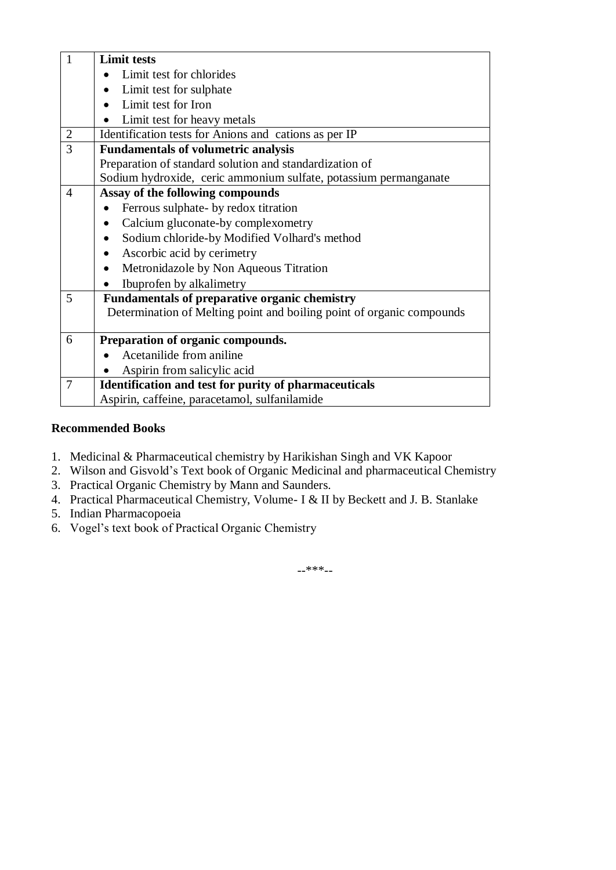| $\mathbf{1}$   | <b>Limit tests</b>                                                    |
|----------------|-----------------------------------------------------------------------|
|                | Limit test for chlorides                                              |
|                | Limit test for sulphate                                               |
|                | Limit test for Iron                                                   |
|                | Limit test for heavy metals<br>$\bullet$                              |
| $\overline{2}$ | Identification tests for Anions and cations as per IP                 |
| 3              | <b>Fundamentals of volumetric analysis</b>                            |
|                | Preparation of standard solution and standardization of               |
|                | Sodium hydroxide, ceric ammonium sulfate, potassium permanganate      |
| $\overline{4}$ | Assay of the following compounds                                      |
|                | Ferrous sulphate- by redox titration                                  |
|                | Calcium gluconate-by complexometry                                    |
|                | Sodium chloride-by Modified Volhard's method<br>$\bullet$             |
|                | Ascorbic acid by cerimetry<br>$\bullet$                               |
|                | Metronidazole by Non Aqueous Titration<br>$\bullet$                   |
|                | Ibuprofen by alkalimetry                                              |
| 5              | <b>Fundamentals of preparative organic chemistry</b>                  |
|                | Determination of Melting point and boiling point of organic compounds |
| 6              | Preparation of organic compounds.                                     |
|                | Acetanilide from aniline                                              |
|                | Aspirin from salicylic acid                                           |
| $\overline{7}$ | <b>Identification and test for purity of pharmaceuticals</b>          |
|                | Aspirin, caffeine, paracetamol, sulfanilamide                         |

- 1. Medicinal & Pharmaceutical chemistry by Harikishan Singh and VK Kapoor
- 2. Wilson and Gisvold's Text book of Organic Medicinal and pharmaceutical Chemistry
- 3. Practical Organic Chemistry by Mann and Saunders.
- 4. Practical Pharmaceutical Chemistry, Volume- I & II by Beckett and J. B. Stanlake
- 5. Indian Pharmacopoeia
- 6. Vogel's text book of Practical Organic Chemistry

--\*\*\*--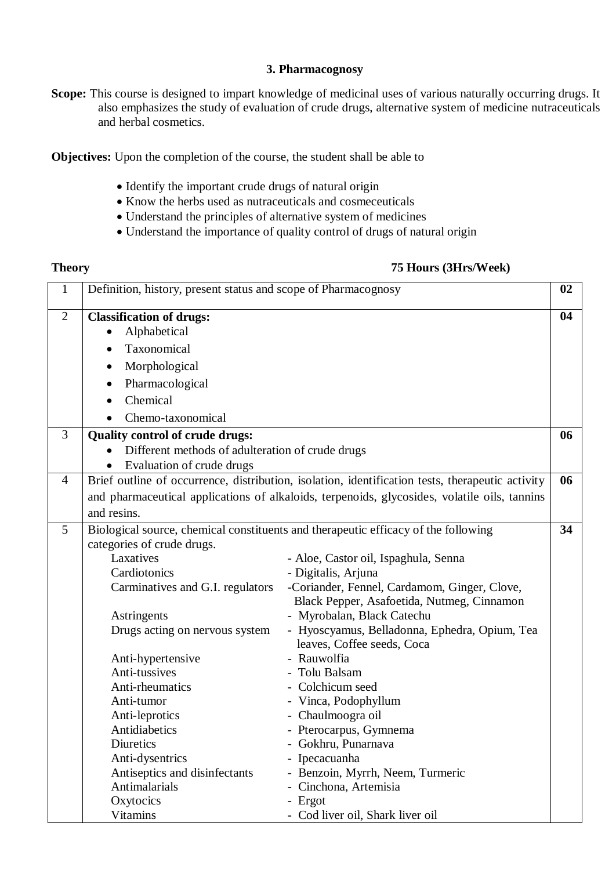#### **3. Pharmacognosy**

**Scope:** This course is designed to impart knowledge of medicinal uses of various naturally occurring drugs. It also emphasizes the study of evaluation of crude drugs, alternative system of medicine nutraceuticals and herbal cosmetics.

**Objectives:** Upon the completion of the course, the student shall be able to

- Identify the important crude drugs of natural origin
- Know the herbs used as nutraceuticals and cosmeceuticals
- Understand the principles of alternative system of medicines
- Understand the importance of quality control of drugs of natural origin

### **Theory 75 Hours (3Hrs/Week)**

| $\mathbf{1}$   | Definition, history, present status and scope of Pharmacognosy                             |                                                                                                                       | 02 |
|----------------|--------------------------------------------------------------------------------------------|-----------------------------------------------------------------------------------------------------------------------|----|
| $\overline{2}$ | <b>Classification of drugs:</b><br>Alphabetical                                            |                                                                                                                       | 04 |
|                | Taxonomical                                                                                |                                                                                                                       |    |
|                | Morphological                                                                              |                                                                                                                       |    |
|                | Pharmacological                                                                            |                                                                                                                       |    |
|                | Chemical                                                                                   |                                                                                                                       |    |
|                | Chemo-taxonomical                                                                          |                                                                                                                       |    |
| 3              | <b>Quality control of crude drugs:</b>                                                     |                                                                                                                       | 06 |
|                | Different methods of adulteration of crude drugs                                           |                                                                                                                       |    |
|                | Evaluation of crude drugs                                                                  |                                                                                                                       |    |
| $\overline{4}$ |                                                                                            | Brief outline of occurrence, distribution, isolation, identification tests, therapeutic activity                      | 06 |
|                |                                                                                            | and pharmaceutical applications of alkaloids, terpenoids, glycosides, volatile oils, tannins                          |    |
|                | and resins.                                                                                |                                                                                                                       |    |
| 5              |                                                                                            | Biological source, chemical constituents and therapeutic efficacy of the following                                    | 34 |
|                | categories of crude drugs.                                                                 |                                                                                                                       |    |
|                | Laxatives                                                                                  | - Aloe, Castor oil, Ispaghula, Senna                                                                                  |    |
|                | Cardiotonics                                                                               | - Digitalis, Arjuna                                                                                                   |    |
|                | Carminatives and G.I. regulators                                                           | -Coriander, Fennel, Cardamom, Ginger, Clove,                                                                          |    |
|                |                                                                                            | Black Pepper, Asafoetida, Nutmeg, Cinnamon                                                                            |    |
|                | Astringents                                                                                | - Myrobalan, Black Catechu                                                                                            |    |
|                | Drugs acting on nervous system                                                             | - Hyoscyamus, Belladonna, Ephedra, Opium, Tea<br>leaves, Coffee seeds, Coca                                           |    |
|                | Anti-hypertensive                                                                          | - Rauwolfia                                                                                                           |    |
|                | Anti-tussives                                                                              | Tolu Balsam                                                                                                           |    |
|                | Anti-rheumatics                                                                            | Colchicum seed                                                                                                        |    |
|                | Anti-tumor                                                                                 | - Vinca, Podophyllum                                                                                                  |    |
|                | Anti-leprotics                                                                             | - Chaulmoogra oil                                                                                                     |    |
|                | Antidiabetics                                                                              | - Pterocarpus, Gymnema                                                                                                |    |
|                | Diuretics                                                                                  | - Gokhru, Punarnava                                                                                                   |    |
|                |                                                                                            |                                                                                                                       |    |
|                |                                                                                            |                                                                                                                       |    |
|                |                                                                                            |                                                                                                                       |    |
|                |                                                                                            |                                                                                                                       |    |
|                | Anti-dysentrics<br>Antiseptics and disinfectants<br>Antimalarials<br>Oxytocics<br>Vitamins | Ipecacuanha<br>- Benzoin, Myrrh, Neem, Turmeric<br>Cinchona, Artemisia<br>- Ergot<br>- Cod liver oil, Shark liver oil |    |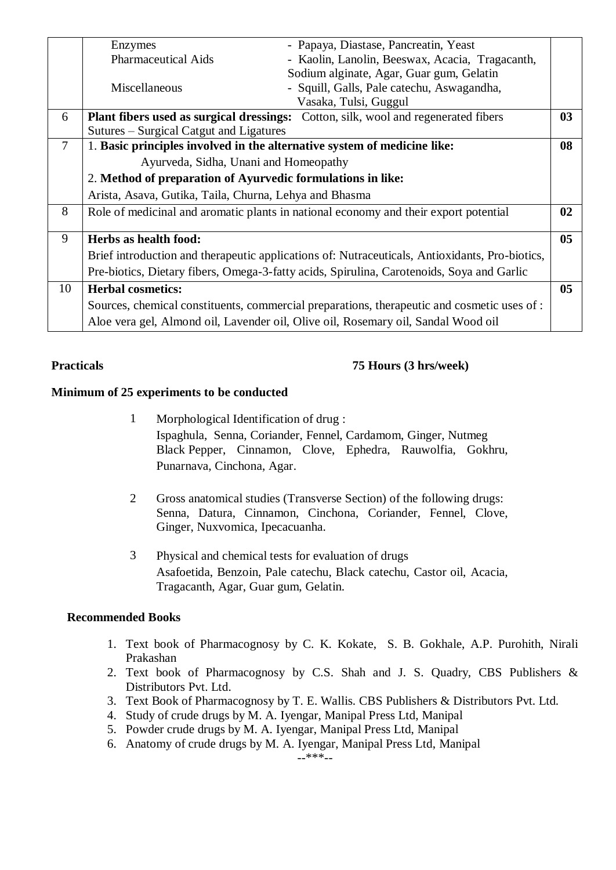|        | Enzymes                                                                  | - Papaya, Diastase, Pancreatin, Yeast                                                          |                |
|--------|--------------------------------------------------------------------------|------------------------------------------------------------------------------------------------|----------------|
|        | <b>Pharmaceutical Aids</b>                                               | - Kaolin, Lanolin, Beeswax, Acacia, Tragacanth,                                                |                |
|        |                                                                          | Sodium alginate, Agar, Guar gum, Gelatin                                                       |                |
|        | Miscellaneous                                                            | - Squill, Galls, Pale catechu, Aswagandha,                                                     |                |
|        |                                                                          | Vasaka, Tulsi, Guggul                                                                          |                |
| 6      |                                                                          | Plant fibers used as surgical dressings: Cotton, silk, wool and regenerated fibers             | 03             |
|        | Sutures – Surgical Catgut and Ligatures                                  |                                                                                                |                |
| $\tau$ | 1. Basic principles involved in the alternative system of medicine like: |                                                                                                | 08             |
|        | Ayurveda, Sidha, Unani and Homeopathy                                    |                                                                                                |                |
|        | 2. Method of preparation of Ayurvedic formulations in like:              |                                                                                                |                |
|        | Arista, Asava, Gutika, Taila, Churna, Lehya and Bhasma                   |                                                                                                |                |
| 8      |                                                                          | Role of medicinal and aromatic plants in national economy and their export potential           | 02             |
| 9      | Herbs as health food:                                                    |                                                                                                | 0 <sub>5</sub> |
|        |                                                                          | Brief introduction and therapeutic applications of: Nutraceuticals, Antioxidants, Pro-biotics, |                |
|        |                                                                          | Pre-biotics, Dietary fibers, Omega-3-fatty acids, Spirulina, Carotenoids, Soya and Garlic      |                |
| 10     | <b>Herbal cosmetics:</b>                                                 |                                                                                                | 0 <sub>5</sub> |
|        |                                                                          | Sources, chemical constituents, commercial preparations, therapeutic and cosmetic uses of :    |                |
|        |                                                                          | Aloe vera gel, Almond oil, Lavender oil, Olive oil, Rosemary oil, Sandal Wood oil              |                |

#### **Practicals 75 Hours (3 hrs/week)**

#### **Minimum of 25 experiments to be conducted**

- 1 Morphological Identification of drug : Ispaghula, Senna, Coriander, Fennel, Cardamom, Ginger, Nutmeg Black Pepper, Cinnamon, Clove, Ephedra, Rauwolfia, Gokhru, Punarnava, Cinchona, Agar.
- 2 Gross anatomical studies (Transverse Section) of the following drugs: Senna, Datura, Cinnamon, Cinchona, Coriander, Fennel, Clove, Ginger, Nuxvomica, Ipecacuanha.
- 3 Physical and chemical tests for evaluation of drugs Asafoetida, Benzoin, Pale catechu, Black catechu, Castor oil, Acacia, Tragacanth, Agar, Guar gum, Gelatin.

### **Recommended Books**

- 1. Text book of Pharmacognosy by C. K. Kokate, S. B. Gokhale, A.P. Purohith, Nirali Prakashan
- 2. Text book of Pharmacognosy by C.S. Shah and J. S. Quadry, CBS Publishers & Distributors Pvt. Ltd.
- 3. Text Book of Pharmacognosy by T. E. Wallis. CBS Publishers & Distributors Pvt. Ltd.
- 4. Study of crude drugs by M. A. Iyengar, Manipal Press Ltd, Manipal
- 5. Powder crude drugs by M. A. Iyengar, Manipal Press Ltd, Manipal
- 6. Anatomy of crude drugs by M. A. Iyengar, Manipal Press Ltd, Manipal

--\*\*\*--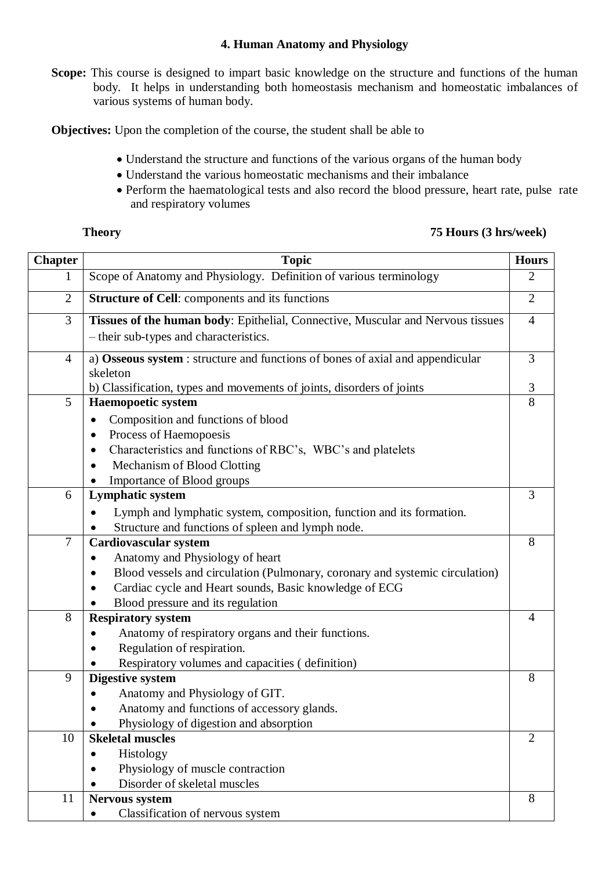#### **4. Human Anatomy and Physiology**

**Scope:** This course is designed to impart basic knowledge on the structure and functions of the human body. It helps in understanding both homeostasis mechanism and homeostatic imbalances of various systems of human body.

**Objectives:** Upon the completion of the course, the student shall be able to

- Understand the structure and functions of the various organs of the human body
- Understand the various homeostatic mechanisms and their imbalance
- Perform the haematological tests and also record the blood pressure, heart rate, pulse rate and respiratory volumes

### **Theory 75 Hours (3 hrs/week)**

| <b>Chapter</b> | <b>Topic</b>                                                                                                                                                                                                                                                              | <b>Hours</b>   |
|----------------|---------------------------------------------------------------------------------------------------------------------------------------------------------------------------------------------------------------------------------------------------------------------------|----------------|
|                | Scope of Anatomy and Physiology. Definition of various terminology                                                                                                                                                                                                        | $\overline{2}$ |
| $\mathbf{2}$   | <b>Structure of Cell:</b> components and its functions                                                                                                                                                                                                                    | $\overline{2}$ |
| 3              | Tissues of the human body: Epithelial, Connective, Muscular and Nervous tissues<br>- their sub-types and characteristics.                                                                                                                                                 | $\overline{4}$ |
| $\overline{4}$ | a) Osseous system : structure and functions of bones of axial and appendicular<br>skeleton                                                                                                                                                                                | 3              |
|                | b) Classification, types and movements of joints, disorders of joints                                                                                                                                                                                                     | 3              |
| 5              | <b>Haemopoetic system</b><br>Composition and functions of blood<br>$\bullet$<br>Process of Haemopoesis<br>$\bullet$<br>Characteristics and functions of RBC's, WBC's and platelets<br>$\bullet$<br>Mechanism of Blood Clotting<br>$\bullet$<br>Importance of Blood groups | 8              |
| 6              | <b>Lymphatic system</b>                                                                                                                                                                                                                                                   | 3              |
|                | Lymph and lymphatic system, composition, function and its formation.<br>Structure and functions of spleen and lymph node.                                                                                                                                                 |                |
| $\tau$         | <b>Cardiovascular system</b>                                                                                                                                                                                                                                              | 8              |
|                | Anatomy and Physiology of heart                                                                                                                                                                                                                                           |                |
|                | Blood vessels and circulation (Pulmonary, coronary and systemic circulation)                                                                                                                                                                                              |                |
|                | Cardiac cycle and Heart sounds, Basic knowledge of ECG<br>$\bullet$                                                                                                                                                                                                       |                |
|                | Blood pressure and its regulation                                                                                                                                                                                                                                         |                |
| 8              | <b>Respiratory system</b><br>Anatomy of respiratory organs and their functions.<br>Regulation of respiration.<br>Respiratory volumes and capacities (definition)                                                                                                          | $\overline{4}$ |
| 9              | <b>Digestive system</b>                                                                                                                                                                                                                                                   | 8              |
|                | Anatomy and Physiology of GIT.<br>Anatomy and functions of accessory glands.<br>Physiology of digestion and absorption                                                                                                                                                    |                |
| 10             | <b>Skeletal muscles</b>                                                                                                                                                                                                                                                   | $\overline{2}$ |
|                | Histology<br>$\bullet$                                                                                                                                                                                                                                                    |                |
|                | Physiology of muscle contraction                                                                                                                                                                                                                                          |                |
|                | Disorder of skeletal muscles                                                                                                                                                                                                                                              |                |
| 11             | Nervous system<br>Classification of nervous system<br>٠                                                                                                                                                                                                                   | 8              |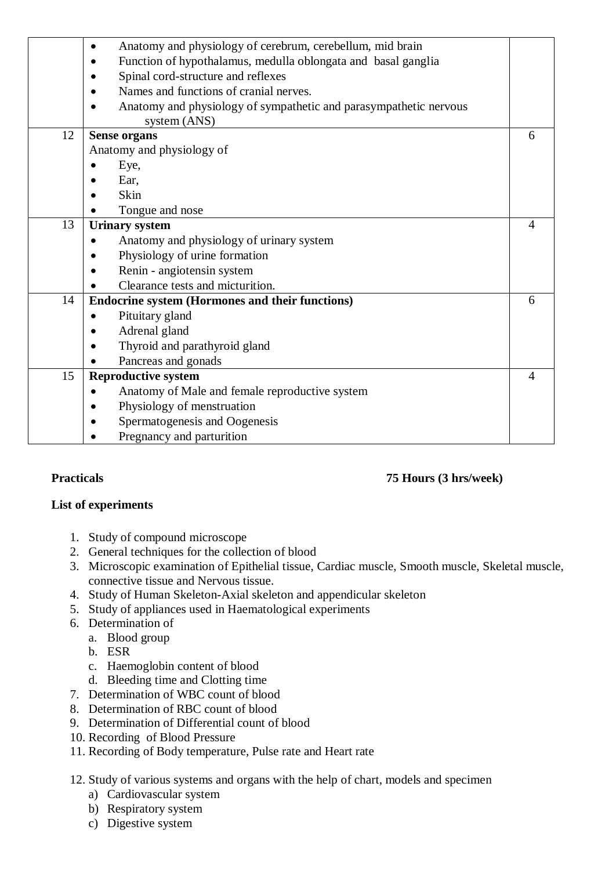|    | Anatomy and physiology of cerebrum, cerebellum, mid brain<br>٠                         |   |
|----|----------------------------------------------------------------------------------------|---|
|    | Function of hypothalamus, medulla oblongata and basal ganglia<br>٠                     |   |
|    | Spinal cord-structure and reflexes<br>٠                                                |   |
|    | Names and functions of cranial nerves.                                                 |   |
|    | Anatomy and physiology of sympathetic and parasympathetic nervous<br>٠<br>system (ANS) |   |
| 12 | <b>Sense organs</b>                                                                    | 6 |
|    | Anatomy and physiology of                                                              |   |
|    | Eye,                                                                                   |   |
|    | Ear,                                                                                   |   |
|    | Skin                                                                                   |   |
|    | Tongue and nose                                                                        |   |
| 13 | <b>Urinary system</b>                                                                  | 4 |
|    | Anatomy and physiology of urinary system                                               |   |
|    | Physiology of urine formation                                                          |   |
|    | Renin - angiotensin system                                                             |   |
|    | Clearance tests and micturition.                                                       |   |
| 14 | <b>Endocrine system (Hormones and their functions)</b>                                 | 6 |
|    | Pituitary gland<br>$\bullet$                                                           |   |
|    | Adrenal gland                                                                          |   |
|    | Thyroid and parathyroid gland                                                          |   |
|    | Pancreas and gonads                                                                    |   |
| 15 | <b>Reproductive system</b>                                                             | 4 |
|    | Anatomy of Male and female reproductive system<br>$\bullet$                            |   |
|    | Physiology of menstruation                                                             |   |
|    | Spermatogenesis and Oogenesis                                                          |   |
|    | Pregnancy and parturition                                                              |   |
|    |                                                                                        |   |

### **Practicals 75 Hours (3 hrs/week)**

### **List of experiments**

- 1. Study of compound microscope
- 2. General techniques for the collection of blood
- 3. Microscopic examination of Epithelial tissue, Cardiac muscle, Smooth muscle, Skeletal muscle, connective tissue and Nervous tissue.
- 4. Study of Human Skeleton-Axial skeleton and appendicular skeleton
- 5. Study of appliances used in Haematological experiments
- 6. Determination of
	- a. Blood group
	- b. ESR
	- c. Haemoglobin content of blood
	- d. Bleeding time and Clotting time
- 7. Determination of WBC count of blood
- 8. Determination of RBC count of blood
- 9. Determination of Differential count of blood
- 10. Recording of Blood Pressure
- 11. Recording of Body temperature, Pulse rate and Heart rate
- 12. Study of various systems and organs with the help of chart, models and specimen
	- a) Cardiovascular system
	- b) Respiratory system
	- c) Digestive system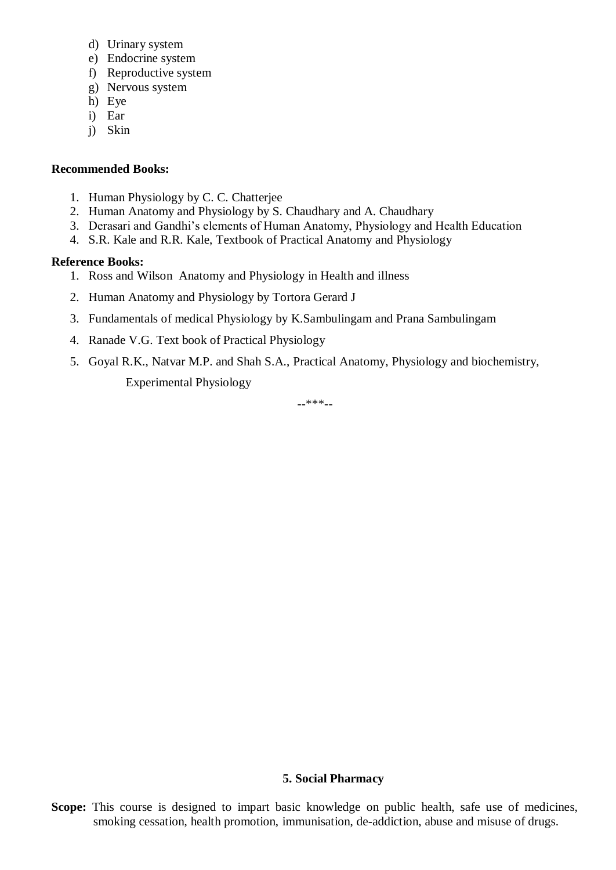- d) Urinary system
- e) Endocrine system
- f) Reproductive system
- g) Nervous system
- h) Eye
- i) Ear
- j) Skin

- 1. Human Physiology by C. C. Chatterjee
- 2. Human Anatomy and Physiology by S. Chaudhary and A. Chaudhary
- 3. Derasari and Gandhi's elements of Human Anatomy, Physiology and Health Education
- 4. S.R. Kale and R.R. Kale, Textbook of Practical Anatomy and Physiology

#### **Reference Books:**

- 1. Ross and Wilson Anatomy and Physiology in Health and illness
- 2. Human Anatomy and Physiology by Tortora Gerard J
- 3. Fundamentals of medical Physiology by K.Sambulingam and Prana Sambulingam
- 4. Ranade V.G. Text book of Practical Physiology
- 5. Goyal R.K., Natvar M.P. and Shah S.A., Practical Anatomy, Physiology and biochemistry, Experimental Physiology

--\*\*\*--

#### **5. Social Pharmacy**

Scope: This course is designed to impart basic knowledge on public health, safe use of medicines, smoking cessation, health promotion, immunisation, de-addiction, abuse and misuse of drugs.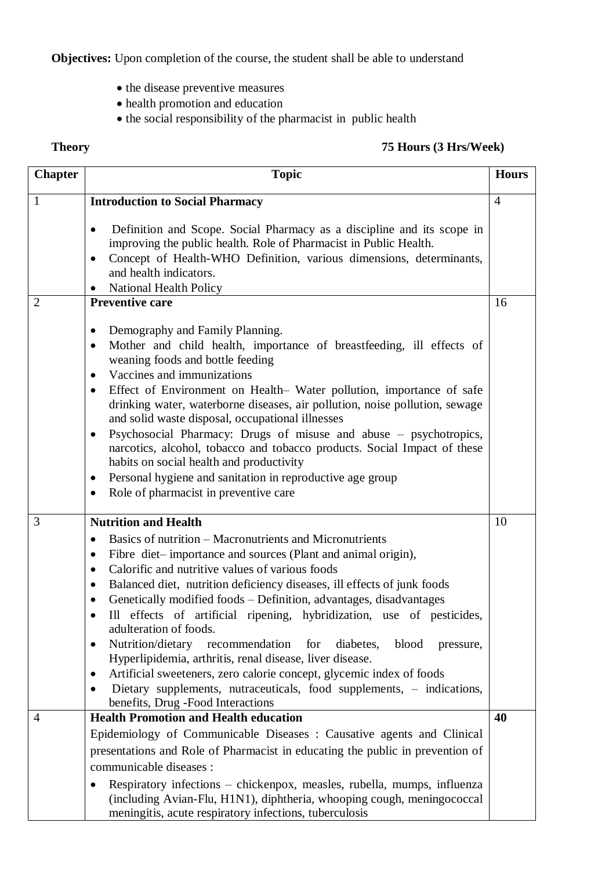**Objectives:** Upon completion of the course, the student shall be able to understand

- the disease preventive measures
- health promotion and education
- $\bullet$  the social responsibility of the pharmacist in public health

### **Theory 75 Hours (3 Hrs/Week)**

| <b>Chapter</b> | <b>Topic</b>                                                                                                                                                                                                                                                                                                                                                                                                                                                                                                                                                                                                                                                                                                                                                                                                                                              | <b>Hours</b>   |
|----------------|-----------------------------------------------------------------------------------------------------------------------------------------------------------------------------------------------------------------------------------------------------------------------------------------------------------------------------------------------------------------------------------------------------------------------------------------------------------------------------------------------------------------------------------------------------------------------------------------------------------------------------------------------------------------------------------------------------------------------------------------------------------------------------------------------------------------------------------------------------------|----------------|
| $\mathbf{1}$   | <b>Introduction to Social Pharmacy</b>                                                                                                                                                                                                                                                                                                                                                                                                                                                                                                                                                                                                                                                                                                                                                                                                                    | $\overline{4}$ |
|                | Definition and Scope. Social Pharmacy as a discipline and its scope in<br>$\bullet$<br>improving the public health. Role of Pharmacist in Public Health.<br>Concept of Health-WHO Definition, various dimensions, determinants,<br>and health indicators.<br>National Health Policy                                                                                                                                                                                                                                                                                                                                                                                                                                                                                                                                                                       |                |
| $\overline{2}$ | <b>Preventive care</b>                                                                                                                                                                                                                                                                                                                                                                                                                                                                                                                                                                                                                                                                                                                                                                                                                                    | 16             |
|                | Demography and Family Planning.<br>$\bullet$<br>Mother and child health, importance of breastfeeding, ill effects of<br>$\bullet$<br>weaning foods and bottle feeding<br>Vaccines and immunizations<br>$\bullet$<br>Effect of Environment on Health– Water pollution, importance of safe<br>$\bullet$<br>drinking water, waterborne diseases, air pollution, noise pollution, sewage<br>and solid waste disposal, occupational illnesses<br>Psychosocial Pharmacy: Drugs of misuse and abuse – psychotropics,<br>$\bullet$<br>narcotics, alcohol, tobacco and tobacco products. Social Impact of these<br>habits on social health and productivity<br>Personal hygiene and sanitation in reproductive age group<br>$\bullet$<br>Role of pharmacist in preventive care<br>$\bullet$                                                                        |                |
| 3              | <b>Nutrition and Health</b>                                                                                                                                                                                                                                                                                                                                                                                                                                                                                                                                                                                                                                                                                                                                                                                                                               | 10             |
|                | Basics of nutrition – Macronutrients and Micronutrients<br>$\bullet$<br>Fibre diet-importance and sources (Plant and animal origin),<br>٠<br>Calorific and nutritive values of various foods<br>$\bullet$<br>Balanced diet, nutrition deficiency diseases, ill effects of junk foods<br>$\bullet$<br>Genetically modified foods - Definition, advantages, disadvantages<br>$\bullet$<br>Ill effects of artificial ripening, hybridization, use of pesticides,<br>adulteration of foods.<br>Nutrition/dietary<br>recommendation<br>for<br>blood<br>diabetes,<br>pressure,<br>٠<br>Hyperlipidemia, arthritis, renal disease, liver disease.<br>Artificial sweeteners, zero calorie concept, glycemic index of foods<br>$\bullet$<br>Dietary supplements, nutraceuticals, food supplements, - indications,<br>$\bullet$<br>benefits, Drug -Food Interactions |                |
| 4              | <b>Health Promotion and Health education</b>                                                                                                                                                                                                                                                                                                                                                                                                                                                                                                                                                                                                                                                                                                                                                                                                              | 40             |
|                | Epidemiology of Communicable Diseases: Causative agents and Clinical<br>presentations and Role of Pharmacist in educating the public in prevention of<br>communicable diseases :<br>Respiratory infections - chickenpox, measles, rubella, mumps, influenza<br>(including Avian-Flu, H1N1), diphtheria, whooping cough, meningococcal<br>meningitis, acute respiratory infections, tuberculosis                                                                                                                                                                                                                                                                                                                                                                                                                                                           |                |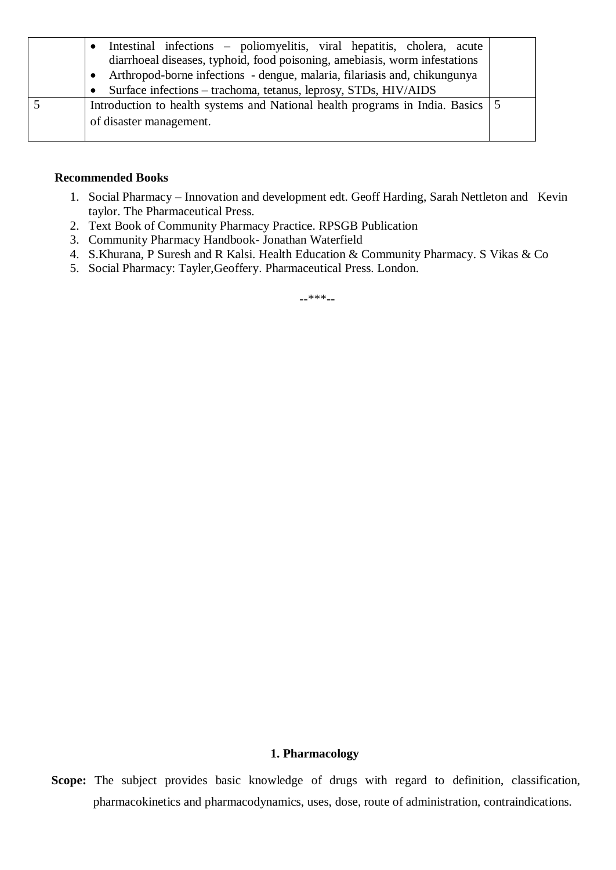| Intestinal infections – poliomyelitis, viral hepatitis, cholera, acute<br>$\bullet$ |  |
|-------------------------------------------------------------------------------------|--|
| diarrhoeal diseases, typhoid, food poisoning, amebiasis, worm infestations          |  |
| Arthropod-borne infections - dengue, malaria, filariasis and, chikungunya           |  |
| Surface infections – trachoma, tetanus, leprosy, STDs, HIV/AIDS                     |  |
| Introduction to health systems and National health programs in India. Basics 5      |  |
| of disaster management.                                                             |  |
|                                                                                     |  |

- 1. Social Pharmacy Innovation and development edt. Geoff Harding, Sarah Nettleton and Kevin taylor. The Pharmaceutical Press.
- 2. Text Book of Community Pharmacy Practice. RPSGB Publication
- 3. Community Pharmacy Handbook- Jonathan Waterfield
- 4. S.Khurana, P Suresh and R Kalsi. Health Education & Community Pharmacy. S Vikas & Co
- 5. Social Pharmacy: Tayler,Geoffery. Pharmaceutical Press. London.

--\*\*\*--

#### **1. Pharmacology**

**Scope:** The subject provides basic knowledge of drugs with regard to definition, classification, pharmacokinetics and pharmacodynamics, uses, dose, route of administration, contraindications.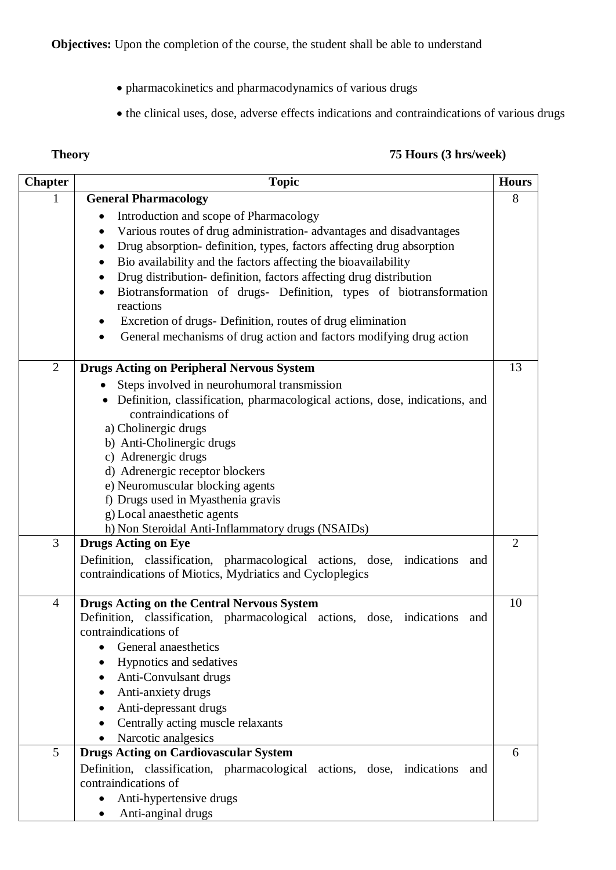- pharmacokinetics and pharmacodynamics of various drugs
- the clinical uses, dose, adverse effects indications and contraindications of various drugs

### **Theory 75 Hours (3 hrs/week)**

| <b>Chapter</b> | <b>Topic</b>                                                                                                                      | <b>Hours</b>   |
|----------------|-----------------------------------------------------------------------------------------------------------------------------------|----------------|
|                | <b>General Pharmacology</b>                                                                                                       | 8              |
|                | Introduction and scope of Pharmacology                                                                                            |                |
|                | Various routes of drug administration- advantages and disadvantages                                                               |                |
|                | Drug absorption- definition, types, factors affecting drug absorption<br>٠                                                        |                |
|                | Bio availability and the factors affecting the bioavailability                                                                    |                |
|                | Drug distribution- definition, factors affecting drug distribution                                                                |                |
|                | Biotransformation of drugs- Definition, types of biotransformation<br>reactions                                                   |                |
|                | Excretion of drugs- Definition, routes of drug elimination<br>General mechanisms of drug action and factors modifying drug action |                |
| $\overline{2}$ | <b>Drugs Acting on Peripheral Nervous System</b>                                                                                  | 13             |
|                | Steps involved in neurohumoral transmission                                                                                       |                |
|                | • Definition, classification, pharmacological actions, dose, indications, and<br>contraindications of                             |                |
|                | a) Cholinergic drugs                                                                                                              |                |
|                | b) Anti-Cholinergic drugs                                                                                                         |                |
|                | c) Adrenergic drugs                                                                                                               |                |
|                | d) Adrenergic receptor blockers                                                                                                   |                |
|                | e) Neuromuscular blocking agents                                                                                                  |                |
|                | f) Drugs used in Myasthenia gravis<br>g) Local anaesthetic agents                                                                 |                |
|                | h) Non Steroidal Anti-Inflammatory drugs (NSAIDs)                                                                                 |                |
| 3              | <b>Drugs Acting on Eye</b>                                                                                                        | $\overline{2}$ |
|                | Definition, classification, pharmacological actions, dose, indications<br>and                                                     |                |
|                | contraindications of Miotics, Mydriatics and Cycloplegics                                                                         |                |
| $\overline{4}$ | <b>Drugs Acting on the Central Nervous System</b>                                                                                 | 10             |
|                | Definition, classification, pharmacological actions, dose, indications and                                                        |                |
|                | contraindications of                                                                                                              |                |
|                | General anaesthetics                                                                                                              |                |
|                | Hypnotics and sedatives                                                                                                           |                |
|                | Anti-Convulsant drugs                                                                                                             |                |
|                | Anti-anxiety drugs                                                                                                                |                |
|                | Anti-depressant drugs                                                                                                             |                |
|                | Centrally acting muscle relaxants                                                                                                 |                |
|                | Narcotic analgesics                                                                                                               |                |
| 5              | <b>Drugs Acting on Cardiovascular System</b>                                                                                      | 6              |
|                | Definition, classification, pharmacological actions, dose, indications<br>and                                                     |                |
|                | contraindications of                                                                                                              |                |
|                | Anti-hypertensive drugs                                                                                                           |                |
|                | Anti-anginal drugs                                                                                                                |                |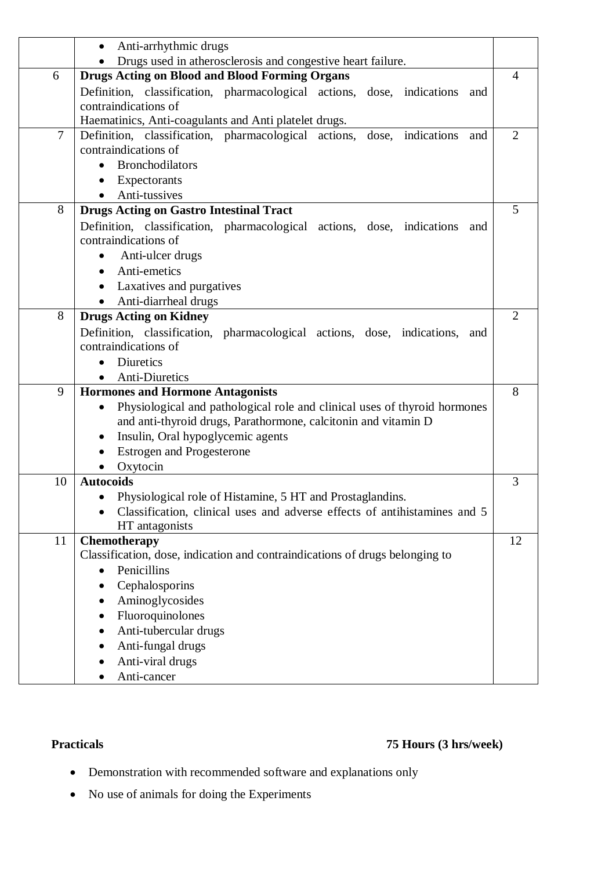|    | Anti-arrhythmic drugs<br>$\bullet$                                                                    |                |  |
|----|-------------------------------------------------------------------------------------------------------|----------------|--|
|    | Drugs used in atherosclerosis and congestive heart failure.                                           |                |  |
| 6  | <b>Drugs Acting on Blood and Blood Forming Organs</b>                                                 |                |  |
|    | Definition, classification, pharmacological actions, dose, indications<br>and<br>contraindications of |                |  |
|    | Haematinics, Anti-coagulants and Anti platelet drugs.                                                 |                |  |
| 7  | Definition, classification, pharmacological actions, dose, indications<br>and                         | $\overline{2}$ |  |
|    | contraindications of                                                                                  |                |  |
|    | <b>Bronchodilators</b>                                                                                |                |  |
|    | Expectorants                                                                                          |                |  |
|    | Anti-tussives                                                                                         |                |  |
| 8  | <b>Drugs Acting on Gastro Intestinal Tract</b>                                                        | 5              |  |
|    | Definition, classification, pharmacological actions, dose, indications<br>and                         |                |  |
|    | contraindications of                                                                                  |                |  |
|    | Anti-ulcer drugs<br>٠                                                                                 |                |  |
|    | Anti-emetics<br>$\bullet$                                                                             |                |  |
|    | Laxatives and purgatives                                                                              |                |  |
|    | Anti-diarrheal drugs<br>$\bullet$                                                                     |                |  |
| 8  | <b>Drugs Acting on Kidney</b>                                                                         | $\overline{2}$ |  |
|    | Definition, classification, pharmacological actions, dose, indications, and                           |                |  |
|    | contraindications of                                                                                  |                |  |
|    | <b>Diuretics</b>                                                                                      |                |  |
|    | <b>Anti-Diuretics</b>                                                                                 |                |  |
| 9  | <b>Hormones and Hormone Antagonists</b>                                                               | 8              |  |
|    | Physiological and pathological role and clinical uses of thyroid hormones<br>$\bullet$                |                |  |
|    | and anti-thyroid drugs, Parathormone, calcitonin and vitamin D                                        |                |  |
|    | Insulin, Oral hypoglycemic agents<br>٠                                                                |                |  |
|    | <b>Estrogen and Progesterone</b>                                                                      |                |  |
|    | Oxytocin                                                                                              |                |  |
| 10 | <b>Autocoids</b>                                                                                      | 3              |  |
|    | Physiological role of Histamine, 5 HT and Prostaglandins.                                             |                |  |
|    | Classification, clinical uses and adverse effects of antihistamines and 5                             |                |  |
|    | HT antagonists                                                                                        |                |  |
| 11 | Chemotherapy                                                                                          | 12             |  |
|    | Classification, dose, indication and contraindications of drugs belonging to<br>Penicillins           |                |  |
|    | Cephalosporins                                                                                        |                |  |
|    | Aminoglycosides<br>$\bullet$                                                                          |                |  |
|    |                                                                                                       |                |  |
|    | Fluoroquinolones<br>٠<br>Anti-tubercular drugs                                                        |                |  |
|    | Anti-fungal drugs                                                                                     |                |  |
|    | Anti-viral drugs                                                                                      |                |  |
|    | Anti-cancer                                                                                           |                |  |
|    |                                                                                                       |                |  |

## **Practicals 75 Hours (3 hrs/week)**

- Demonstration with recommended software and explanations only
- No use of animals for doing the Experiments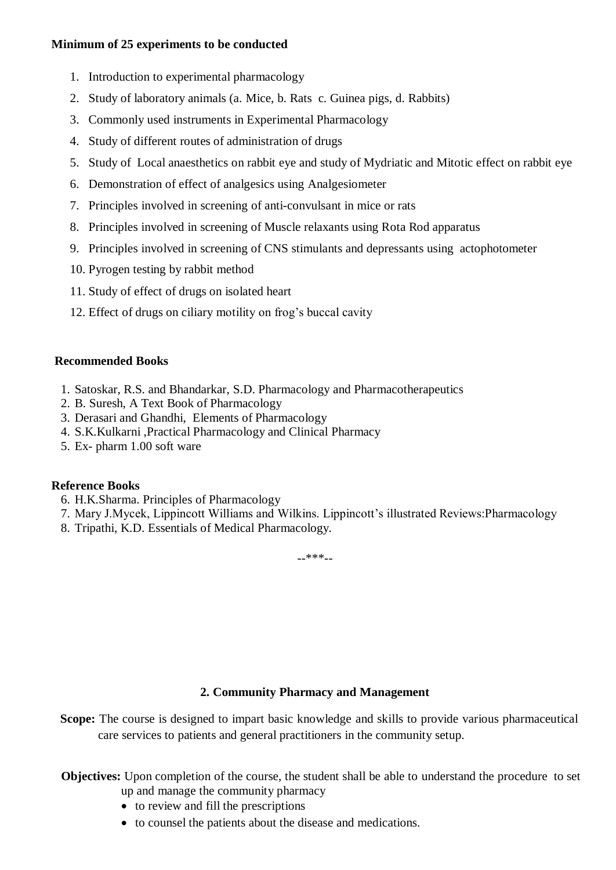#### **Minimum of 25 experiments to be conducted**

- 1. Introduction to experimental pharmacology
- 2. Study of laboratory animals (a. Mice, b. Rats c. Guinea pigs, d. Rabbits)
- 3. Commonly used instruments in Experimental Pharmacology
- 4. Study of different routes of administration of drugs
- 5. Study of Local anaesthetics on rabbit eye and study of Mydriatic and Mitotic effect on rabbit eye
- 6. Demonstration of effect of analgesics using Analgesiometer
- 7. Principles involved in screening of anti-convulsant in mice or rats
- 8. Principles involved in screening of Muscle relaxants using Rota Rod apparatus
- 9. Principles involved in screening of CNS stimulants and depressants using actophotometer
- 10. Pyrogen testing by rabbit method
- 11. Study of effect of drugs on isolated heart
- 12. Effect of drugs on ciliary motility on frog's buccal cavity

### **Recommended Books**

- 1. Satoskar, R.S. and Bhandarkar, S.D. Pharmacology and Pharmacotherapeutics
- 2. B. Suresh, A Text Book of Pharmacology
- 3. Derasari and Ghandhi, Elements of Pharmacology
- 4. S.K.Kulkarni ,Practical Pharmacology and Clinical Pharmacy
- 5. Ex- pharm 1.00 soft ware

#### **Reference Books**

- 6. H.K.Sharma. Principles of Pharmacology
- 7. Mary J.Mycek, Lippincott Williams and Wilkins. Lippincott's illustrated Reviews:Pharmacology
- 8. Tripathi, K.D. Essentials of Medical Pharmacology.

--\*\*\*--

### **2. Community Pharmacy and Management**

**Scope:** The course is designed to impart basic knowledge and skills to provide various pharmaceutical care services to patients and general practitioners in the community setup.

**Objectives:** Upon completion of the course, the student shall be able to understand the procedure to set up and manage the community pharmacy

- to review and fill the prescriptions
- to counsel the patients about the disease and medications.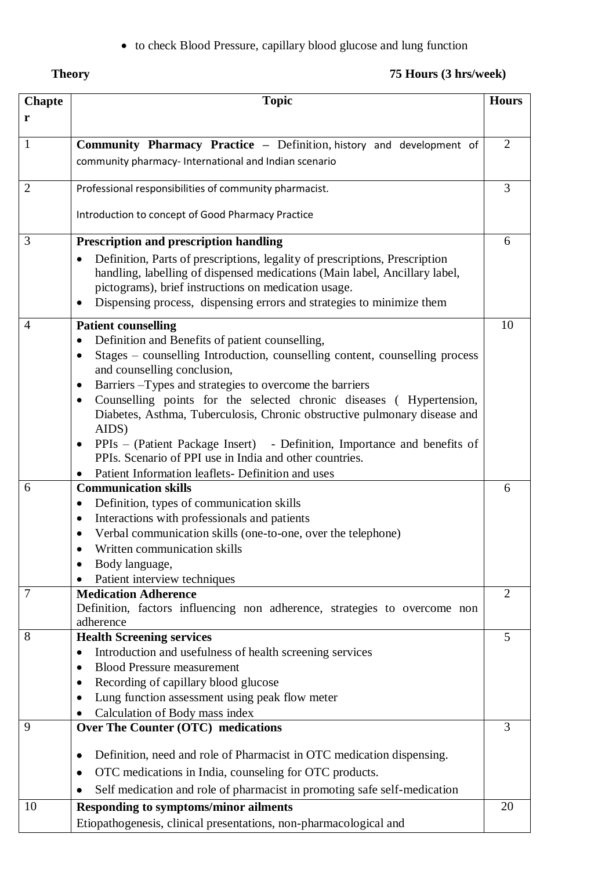to check Blood Pressure, capillary blood glucose and lung function

| eo<br>л<br>п |
|--------------|
|              |

## **Theory** 75 Hours (3 hrs/week)

| <b>Chapte</b>  | <b>Topic</b>                                                                                                                                                                                                                                                                                            | <b>Hours</b>   |
|----------------|---------------------------------------------------------------------------------------------------------------------------------------------------------------------------------------------------------------------------------------------------------------------------------------------------------|----------------|
| r              |                                                                                                                                                                                                                                                                                                         |                |
| $\mathbf{1}$   | Community Pharmacy Practice - Definition, history and development of                                                                                                                                                                                                                                    | $\overline{2}$ |
|                | community pharmacy- International and Indian scenario                                                                                                                                                                                                                                                   |                |
| $\overline{2}$ | Professional responsibilities of community pharmacist.                                                                                                                                                                                                                                                  | 3              |
|                | Introduction to concept of Good Pharmacy Practice                                                                                                                                                                                                                                                       |                |
| 3              | <b>Prescription and prescription handling</b>                                                                                                                                                                                                                                                           | 6              |
|                | Definition, Parts of prescriptions, legality of prescriptions, Prescription<br>$\bullet$<br>handling, labelling of dispensed medications (Main label, Ancillary label,<br>pictograms), brief instructions on medication usage.<br>Dispensing process, dispensing errors and strategies to minimize them |                |
| 4              | <b>Patient counselling</b>                                                                                                                                                                                                                                                                              | 10             |
|                | Definition and Benefits of patient counselling,                                                                                                                                                                                                                                                         |                |
|                | Stages – counselling Introduction, counselling content, counselling process<br>and counselling conclusion,                                                                                                                                                                                              |                |
|                | Barriers – Types and strategies to overcome the barriers                                                                                                                                                                                                                                                |                |
|                | Counselling points for the selected chronic diseases (Hypertension,<br>$\bullet$                                                                                                                                                                                                                        |                |
|                | Diabetes, Asthma, Tuberculosis, Chronic obstructive pulmonary disease and<br>AIDS)                                                                                                                                                                                                                      |                |
|                | PPIs – (Patient Package Insert) - Definition, Importance and benefits of                                                                                                                                                                                                                                |                |
|                | PPIs. Scenario of PPI use in India and other countries.                                                                                                                                                                                                                                                 |                |
|                | Patient Information leaflets- Definition and uses                                                                                                                                                                                                                                                       |                |
| 6              | <b>Communication skills</b>                                                                                                                                                                                                                                                                             | 6              |
|                | Definition, types of communication skills<br>٠                                                                                                                                                                                                                                                          |                |
|                | Interactions with professionals and patients<br>٠<br>Verbal communication skills (one-to-one, over the telephone)                                                                                                                                                                                       |                |
|                | ٠<br>Written communication skills                                                                                                                                                                                                                                                                       |                |
|                | Body language,                                                                                                                                                                                                                                                                                          |                |
|                | Patient interview techniques                                                                                                                                                                                                                                                                            |                |
| 7              | <b>Medication Adherence</b>                                                                                                                                                                                                                                                                             | $\overline{2}$ |
|                | Definition, factors influencing non adherence, strategies to overcome non                                                                                                                                                                                                                               |                |
|                | adherence                                                                                                                                                                                                                                                                                               |                |
| 8              | <b>Health Screening services</b>                                                                                                                                                                                                                                                                        | 5              |
|                | Introduction and usefulness of health screening services<br>$\bullet$                                                                                                                                                                                                                                   |                |
|                | <b>Blood Pressure measurement</b>                                                                                                                                                                                                                                                                       |                |
|                | Recording of capillary blood glucose<br>Lung function assessment using peak flow meter                                                                                                                                                                                                                  |                |
|                | Calculation of Body mass index                                                                                                                                                                                                                                                                          |                |
| 9              | Over The Counter (OTC) medications                                                                                                                                                                                                                                                                      | 3              |
|                |                                                                                                                                                                                                                                                                                                         |                |
|                | Definition, need and role of Pharmacist in OTC medication dispensing.<br>٠                                                                                                                                                                                                                              |                |
|                | OTC medications in India, counseling for OTC products.                                                                                                                                                                                                                                                  |                |
|                | Self medication and role of pharmacist in promoting safe self-medication                                                                                                                                                                                                                                |                |
| 10             | <b>Responding to symptoms/minor ailments</b>                                                                                                                                                                                                                                                            | 20             |
|                | Etiopathogenesis, clinical presentations, non-pharmacological and                                                                                                                                                                                                                                       |                |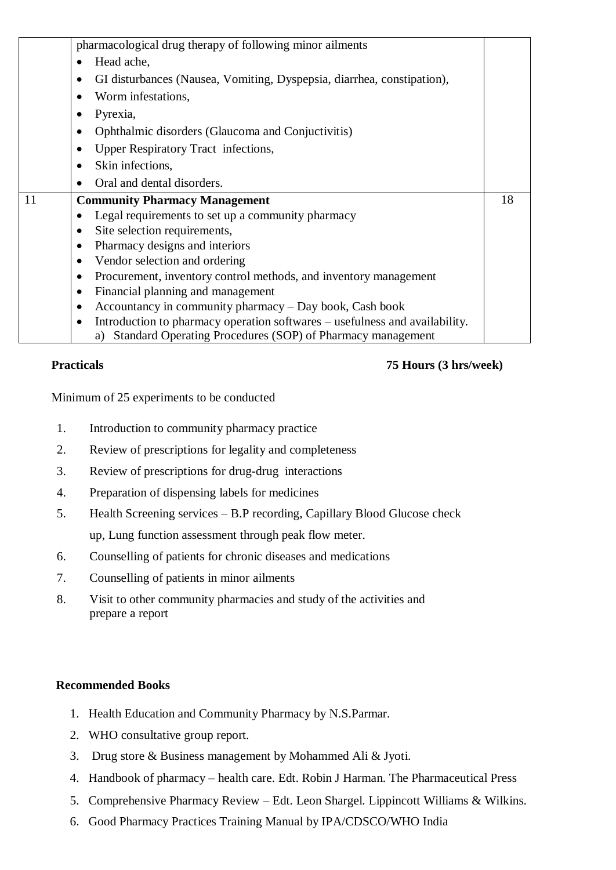|    | pharmacological drug therapy of following minor ailments                      |    |
|----|-------------------------------------------------------------------------------|----|
|    | Head ache,<br>$\bullet$                                                       |    |
|    | GI disturbances (Nausea, Vomiting, Dyspepsia, diarrhea, constipation),<br>٠   |    |
|    | Worm infestations,                                                            |    |
|    | Pyrexia,                                                                      |    |
|    | Ophthalmic disorders (Glaucoma and Conjuctivitis)<br>$\bullet$                |    |
|    | Upper Respiratory Tract infections,<br>$\bullet$                              |    |
|    | Skin infections,<br>$\bullet$                                                 |    |
|    | Oral and dental disorders.                                                    |    |
| 11 | <b>Community Pharmacy Management</b>                                          | 18 |
|    | Legal requirements to set up a community pharmacy                             |    |
|    | Site selection requirements,<br>$\bullet$                                     |    |
|    | Pharmacy designs and interiors<br>٠                                           |    |
|    | Vendor selection and ordering<br>$\bullet$                                    |    |
|    | Procurement, inventory control methods, and inventory management<br>$\bullet$ |    |
|    | Financial planning and management<br>٠                                        |    |
|    | Accountancy in community pharmacy – Day book, Cash book<br>$\bullet$          |    |
|    | Introduction to pharmacy operation softwares – usefulness and availability.   |    |
|    | a) Standard Operating Procedures (SOP) of Pharmacy management                 |    |

### **Practicals 75 Hours (3 hrs/week)**

Minimum of 25 experiments to be conducted

- 1. Introduction to community pharmacy practice
- 2. Review of prescriptions for legality and completeness
- 3. Review of prescriptions for drug-drug interactions
- 4. Preparation of dispensing labels for medicines
- 5. Health Screening services B.P recording, Capillary Blood Glucose check up, Lung function assessment through peak flow meter.
- 6. Counselling of patients for chronic diseases and medications
- 7. Counselling of patients in minor ailments
- 8. Visit to other community pharmacies and study of the activities and prepare a report

#### **Recommended Books**

- 1. Health Education and Community Pharmacy by N.S.Parmar.
- 2. WHO consultative group report.
- 3. Drug store & Business management by Mohammed Ali & Jyoti.
- 4. Handbook of pharmacy health care. Edt. Robin J Harman. The Pharmaceutical Press
- 5. Comprehensive Pharmacy Review Edt. Leon Shargel. Lippincott Williams & Wilkins.
- 6. Good Pharmacy Practices Training Manual by IPA/CDSCO/WHO India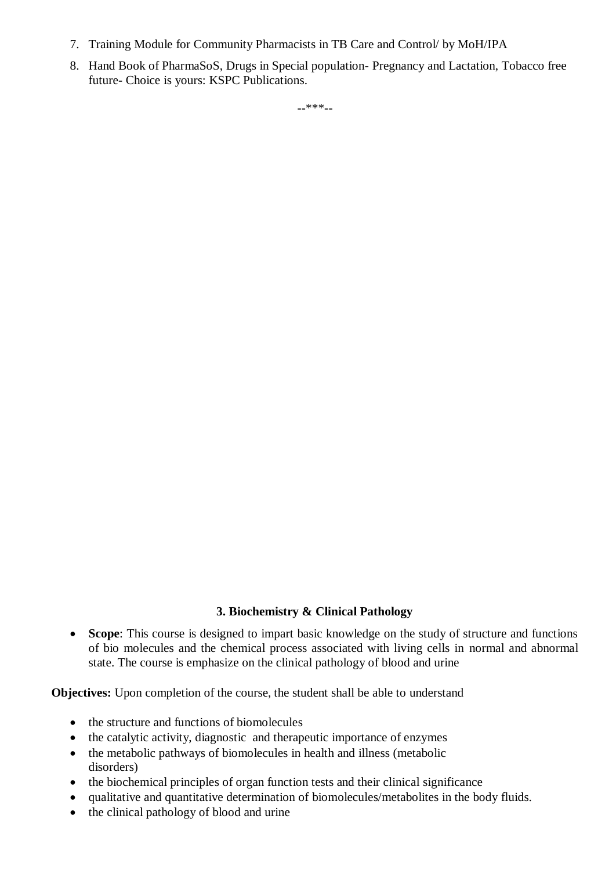- 7. Training Module for Community Pharmacists in TB Care and Control/ by MoH/IPA
- 8. Hand Book of PharmaSoS, Drugs in Special population- Pregnancy and Lactation, Tobacco free future- Choice is yours: KSPC Publications.

--\*\*\*--

### **3. Biochemistry & Clinical Pathology**

 **Scope**: This course is designed to impart basic knowledge on the study of structure and functions of bio molecules and the chemical process associated with living cells in normal and abnormal state. The course is emphasize on the clinical pathology of blood and urine

**Objectives:** Upon completion of the course, the student shall be able to understand

- the structure and functions of biomolecules
- the catalytic activity, diagnostic and therapeutic importance of enzymes
- the metabolic pathways of biomolecules in health and illness (metabolic disorders)
- the biochemical principles of organ function tests and their clinical significance
- qualitative and quantitative determination of biomolecules/metabolites in the body fluids.
- the clinical pathology of blood and urine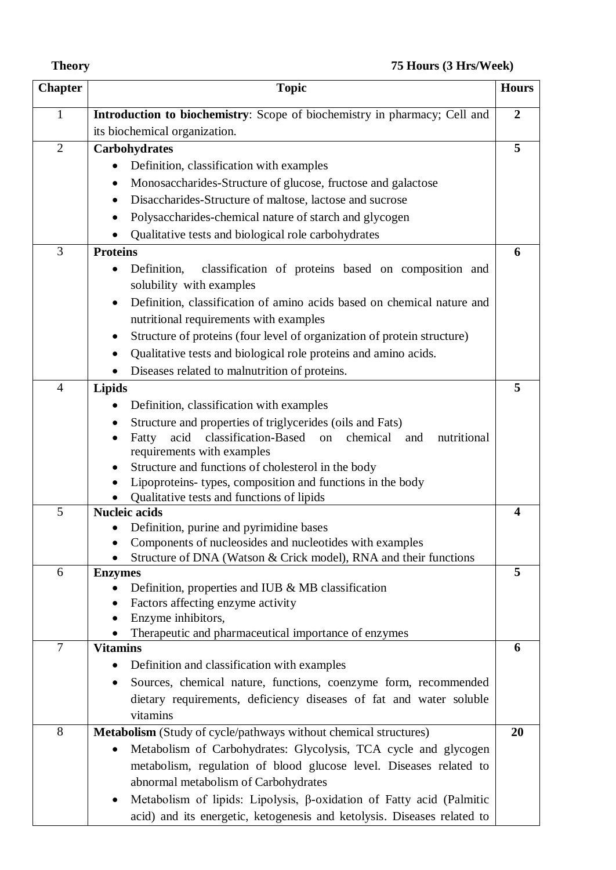| eoi<br>п |  |
|----------|--|
|----------|--|

## **Theory 75 Hours (3 Hrs/Week)**

| <b>Chapter</b> | <b>Topic</b>                                                                        | <b>Hours</b>            |
|----------------|-------------------------------------------------------------------------------------|-------------------------|
| $\mathbf{1}$   | Introduction to biochemistry: Scope of biochemistry in pharmacy; Cell and           | $\overline{2}$          |
|                | its biochemical organization.                                                       |                         |
| $\overline{2}$ | Carbohydrates                                                                       | 5                       |
|                | Definition, classification with examples                                            |                         |
|                | Monosaccharides-Structure of glucose, fructose and galactose<br>٠                   |                         |
|                | Disaccharides-Structure of maltose, lactose and sucrose<br>$\bullet$                |                         |
|                | Polysaccharides-chemical nature of starch and glycogen<br>$\bullet$                 |                         |
|                | Qualitative tests and biological role carbohydrates                                 |                         |
| 3              | <b>Proteins</b>                                                                     | 6                       |
|                | classification of proteins based on composition and<br>Definition,                  |                         |
|                | solubility with examples                                                            |                         |
|                | Definition, classification of amino acids based on chemical nature and<br>$\bullet$ |                         |
|                | nutritional requirements with examples                                              |                         |
|                | Structure of proteins (four level of organization of protein structure)<br>٠        |                         |
|                | Qualitative tests and biological role proteins and amino acids.                     |                         |
|                | Diseases related to malnutrition of proteins.                                       |                         |
| $\overline{4}$ | <b>Lipids</b>                                                                       | 5                       |
|                | Definition, classification with examples                                            |                         |
|                | Structure and properties of triglycerides (oils and Fats)                           |                         |
|                | acid<br>classification-Based<br>chemical<br>nutritional<br>on<br>Fatty<br>and       |                         |
|                | requirements with examples                                                          |                         |
|                | Structure and functions of cholesterol in the body                                  |                         |
|                | Lipoproteins-types, composition and functions in the body                           |                         |
|                | Qualitative tests and functions of lipids                                           |                         |
| 5              | <b>Nucleic acids</b>                                                                | $\overline{\mathbf{4}}$ |
|                | Definition, purine and pyrimidine bases                                             |                         |
|                | Components of nucleosides and nucleotides with examples                             |                         |
| 6              | Structure of DNA (Watson & Crick model), RNA and their functions                    | 5                       |
|                | <b>Enzymes</b><br>Definition, properties and IUB $\&$ MB classification             |                         |
|                | Factors affecting enzyme activity<br>$\bullet$                                      |                         |
|                | Enzyme inhibitors,                                                                  |                         |
|                | Therapeutic and pharmaceutical importance of enzymes                                |                         |
| $\tau$         | <b>Vitamins</b>                                                                     | 6                       |
|                | Definition and classification with examples<br>٠                                    |                         |
|                | Sources, chemical nature, functions, coenzyme form, recommended<br>$\bullet$        |                         |
|                | dietary requirements, deficiency diseases of fat and water soluble                  |                         |
|                | vitamins                                                                            |                         |
| 8              | <b>Metabolism</b> (Study of cycle/pathways without chemical structures)             | 20                      |
|                | Metabolism of Carbohydrates: Glycolysis, TCA cycle and glycogen                     |                         |
|                | metabolism, regulation of blood glucose level. Diseases related to                  |                         |
|                | abnormal metabolism of Carbohydrates                                                |                         |
|                | Metabolism of lipids: Lipolysis, β-oxidation of Fatty acid (Palmitic<br>$\bullet$   |                         |
|                | acid) and its energetic, ketogenesis and ketolysis. Diseases related to             |                         |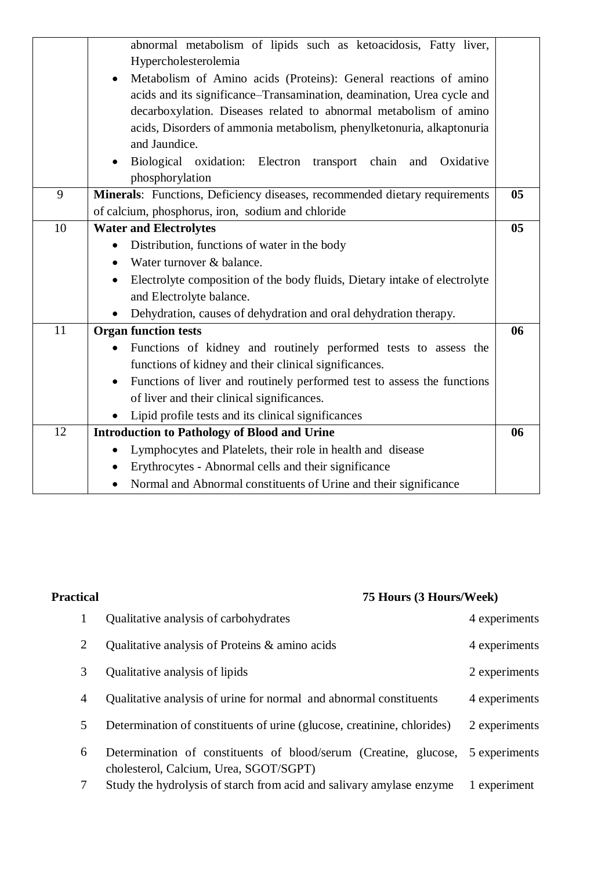|    | abnormal metabolism of lipids such as ketoacidosis, Fatty liver,                     |                |
|----|--------------------------------------------------------------------------------------|----------------|
|    | Hypercholesterolemia                                                                 |                |
|    | Metabolism of Amino acids (Proteins): General reactions of amino                     |                |
|    | acids and its significance-Transamination, deamination, Urea cycle and               |                |
|    | decarboxylation. Diseases related to abnormal metabolism of amino                    |                |
|    | acids, Disorders of ammonia metabolism, phenylketonuria, alkaptonuria                |                |
|    | and Jaundice.                                                                        |                |
|    | Biological oxidation: Electron transport chain<br>Oxidative<br>and                   |                |
|    | phosphorylation                                                                      |                |
| 9  | Minerals: Functions, Deficiency diseases, recommended dietary requirements           | 0 <sub>5</sub> |
|    | of calcium, phosphorus, iron, sodium and chloride                                    |                |
| 10 | <b>Water and Electrolytes</b>                                                        | 0 <sub>5</sub> |
|    | Distribution, functions of water in the body<br>$\bullet$                            |                |
|    | Water turnover & balance.                                                            |                |
|    | Electrolyte composition of the body fluids, Dietary intake of electrolyte<br>٠       |                |
|    | and Electrolyte balance.                                                             |                |
|    | Dehydration, causes of dehydration and oral dehydration therapy.<br>$\bullet$        |                |
| 11 | <b>Organ function tests</b>                                                          | 06             |
|    | Functions of kidney and routinely performed tests to assess the                      |                |
|    | functions of kidney and their clinical significances.                                |                |
|    | Functions of liver and routinely performed test to assess the functions<br>$\bullet$ |                |
|    | of liver and their clinical significances.                                           |                |
|    | Lipid profile tests and its clinical significances                                   |                |
| 12 | <b>Introduction to Pathology of Blood and Urine</b>                                  | 06             |
|    | Lymphocytes and Platelets, their role in health and disease<br>$\bullet$             |                |
|    | Erythrocytes - Abnormal cells and their significance<br>$\bullet$                    |                |
|    | Normal and Abnormal constituents of Urine and their significance<br>$\bullet$        |                |
|    |                                                                                      |                |

| <b>Practical</b> | 75 Hours (3 Hours/Week)                                                                                    |               |  |
|------------------|------------------------------------------------------------------------------------------------------------|---------------|--|
| $\mathbf{1}$     | Qualitative analysis of carbohydrates                                                                      | 4 experiments |  |
| 2                | Qualitative analysis of Proteins & amino acids                                                             | 4 experiments |  |
| 3                | Qualitative analysis of lipids                                                                             | 2 experiments |  |
| 4                | Qualitative analysis of urine for normal and abnormal constituents                                         | 4 experiments |  |
| 5                | Determination of constituents of urine (glucose, creatinine, chlorides)                                    | 2 experiments |  |
| 6                | Determination of constituents of blood/serum (Creatine, glucose,<br>cholesterol, Calcium, Urea, SGOT/SGPT) | 5 experiments |  |
| 7                | Study the hydrolysis of starch from acid and salivary amylase enzyme                                       | 1 experiment  |  |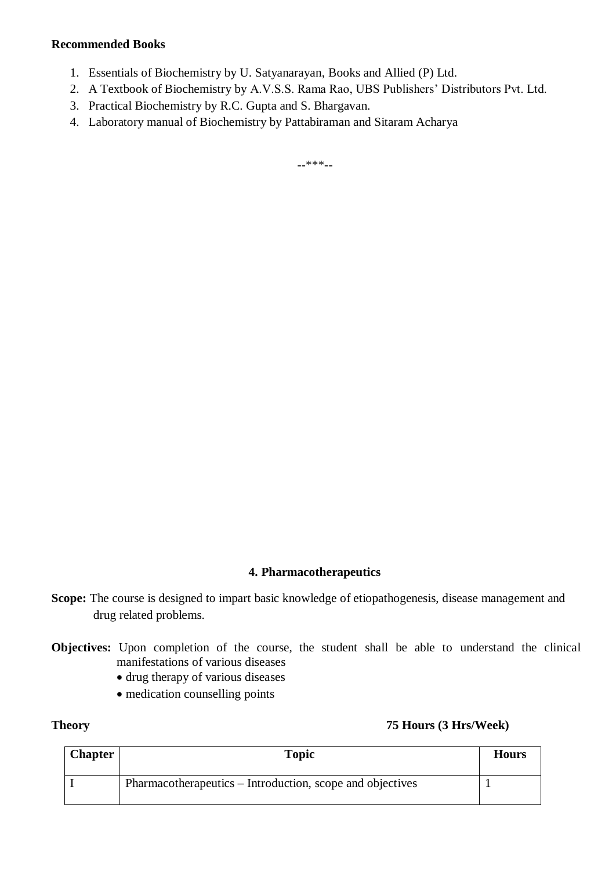- 1. Essentials of Biochemistry by U. Satyanarayan, Books and Allied (P) Ltd.
- 2. A Textbook of Biochemistry by A.V.S.S. Rama Rao, UBS Publishers' Distributors Pvt. Ltd.
- 3. Practical Biochemistry by R.C. Gupta and S. Bhargavan.
- 4. Laboratory manual of Biochemistry by Pattabiraman and Sitaram Acharya

--\*\*\*--

#### **4. Pharmacotherapeutics**

- Scope: The course is designed to impart basic knowledge of etiopathogenesis, disease management and drug related problems.
- **Objectives:** Upon completion of the course, the student shall be able to understand the clinical manifestations of various diseases
	- drug therapy of various diseases
	- medication counselling points

#### **Theory 75 Hours (3 Hrs/Week)**

| <b>Chapter</b> | <b>Topic</b>                                              | <b>Hours</b> |
|----------------|-----------------------------------------------------------|--------------|
|                | Pharmacotherapeutics – Introduction, scope and objectives |              |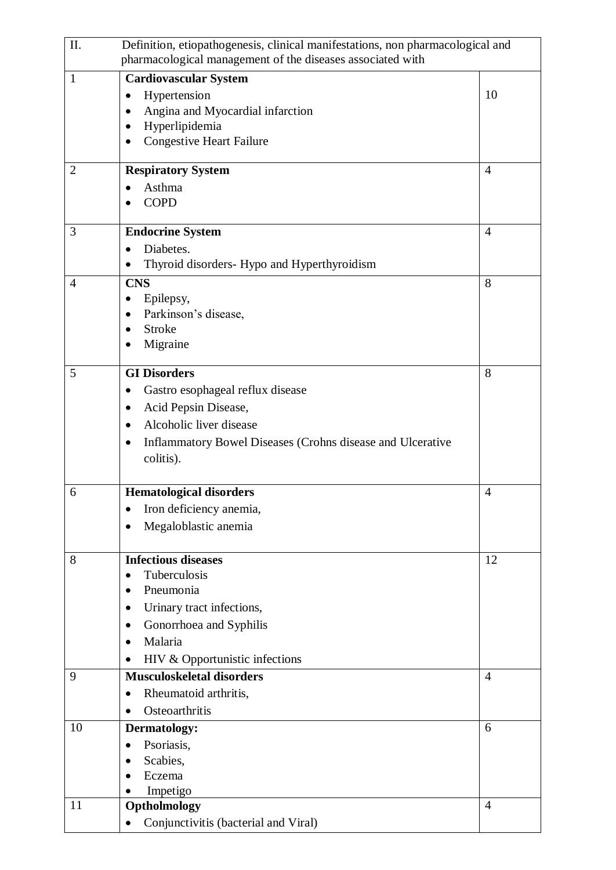| II.            | Definition, etiopathogenesis, clinical manifestations, non pharmacological and |                |
|----------------|--------------------------------------------------------------------------------|----------------|
|                | pharmacological management of the diseases associated with                     |                |
| $\mathbf{1}$   | <b>Cardiovascular System</b>                                                   |                |
|                | Hypertension<br>$\bullet$                                                      | 10             |
|                | Angina and Myocardial infarction<br>$\bullet$                                  |                |
|                | Hyperlipidemia<br>$\bullet$                                                    |                |
|                | <b>Congestive Heart Failure</b><br>٠                                           |                |
|                |                                                                                |                |
| $\overline{2}$ | <b>Respiratory System</b>                                                      | $\overline{4}$ |
|                | Asthma                                                                         |                |
|                | <b>COPD</b>                                                                    |                |
|                |                                                                                |                |
| 3              | <b>Endocrine System</b>                                                        | $\overline{4}$ |
|                | Diabetes.<br>$\bullet$                                                         |                |
|                | Thyroid disorders- Hypo and Hyperthyroidism<br>$\bullet$                       |                |
| $\overline{4}$ | <b>CNS</b>                                                                     | 8              |
|                | Epilepsy,                                                                      |                |
|                | Parkinson's disease,<br>$\bullet$                                              |                |
|                | <b>Stroke</b>                                                                  |                |
|                | Migraine                                                                       |                |
| 5              | <b>GI Disorders</b>                                                            | 8              |
|                | Gastro esophageal reflux disease                                               |                |
|                | Acid Pepsin Disease,<br>$\bullet$                                              |                |
|                | Alcoholic liver disease<br>$\bullet$                                           |                |
|                |                                                                                |                |
|                | Inflammatory Bowel Diseases (Crohns disease and Ulcerative<br>$\bullet$        |                |
|                | colitis).                                                                      |                |
| 6              | <b>Hematological disorders</b>                                                 | 4              |
|                |                                                                                |                |
|                | Iron deficiency anemia,                                                        |                |
|                | Megaloblastic anemia                                                           |                |
|                |                                                                                |                |
| 8              | <b>Infectious diseases</b><br>Tuberculosis<br>$\bullet$                        | 12             |
|                | Pneumonia<br>$\bullet$                                                         |                |
|                | Urinary tract infections,<br>$\bullet$                                         |                |
|                |                                                                                |                |
|                | Gonorrhoea and Syphilis<br>٠                                                   |                |
|                | Malaria<br>$\bullet$                                                           |                |
|                | HIV & Opportunistic infections<br>$\bullet$                                    |                |
| 9              | <b>Musculoskeletal disorders</b>                                               | $\overline{4}$ |
|                | Rheumatoid arthritis,<br>$\bullet$                                             |                |
|                | Osteoarthritis<br>$\bullet$                                                    |                |
| 10             | Dermatology:                                                                   | 6              |
|                | Psoriasis,<br>$\bullet$                                                        |                |
|                | Scabies,<br>$\bullet$                                                          |                |
|                | Eczema                                                                         |                |
|                | Impetigo                                                                       |                |
| 11             | Optholmology                                                                   | $\overline{4}$ |
|                | Conjunctivitis (bacterial and Viral)                                           |                |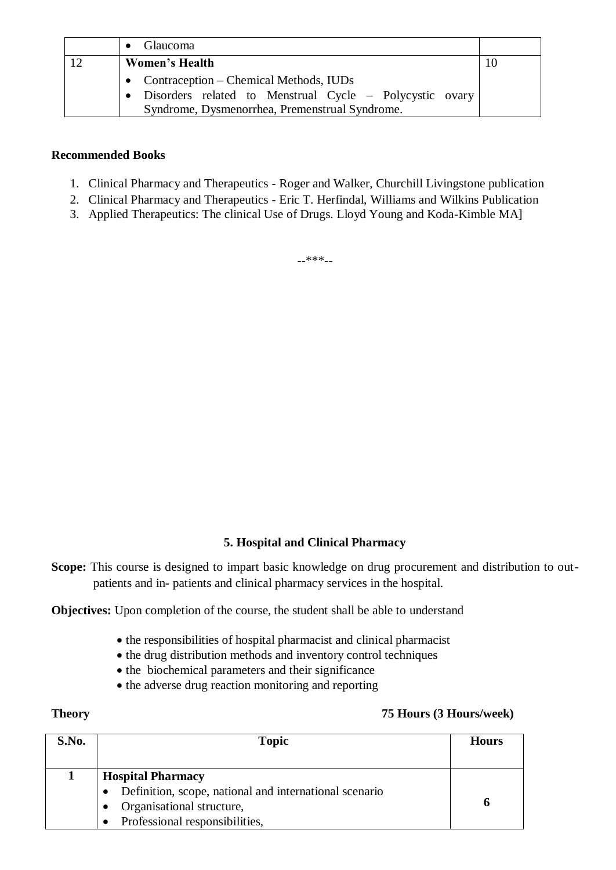| Glaucoma                                                |  |
|---------------------------------------------------------|--|
| <b>Women's Health</b>                                   |  |
| • Contraception – Chemical Methods, IUDs                |  |
| Disorders related to Menstrual Cycle - Polycystic ovary |  |
| Syndrome, Dysmenorrhea, Premenstrual Syndrome.          |  |

- 1. Clinical Pharmacy and Therapeutics Roger and Walker, Churchill Livingstone publication
- 2. Clinical Pharmacy and Therapeutics Eric T. Herfindal, Williams and Wilkins Publication
- 3. Applied Therapeutics: The clinical Use of Drugs. Lloyd Young and Koda-Kimble MA]

--\*\*\*--

### **5. Hospital and Clinical Pharmacy**

**Scope:** This course is designed to impart basic knowledge on drug procurement and distribution to outpatients and in- patients and clinical pharmacy services in the hospital.

**Objectives:** Upon completion of the course, the student shall be able to understand

- the responsibilities of hospital pharmacist and clinical pharmacist
- the drug distribution methods and inventory control techniques
- the biochemical parameters and their significance
- the adverse drug reaction monitoring and reporting

### **Theory 75 Hours (3 Hours/week)**

| S.No. | <b>Topic</b>                                                                                                                                      | <b>Hours</b> |
|-------|---------------------------------------------------------------------------------------------------------------------------------------------------|--------------|
|       | <b>Hospital Pharmacy</b><br>Definition, scope, national and international scenario<br>Organisational structure,<br>Professional responsibilities, | O            |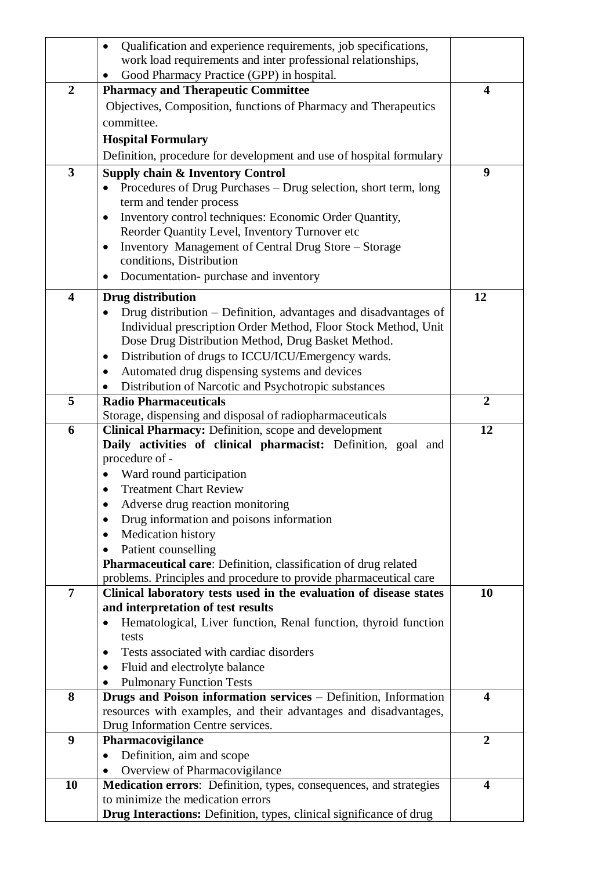|                         | Qualification and experience requirements, job specifications,<br>$\bullet$  |                |
|-------------------------|------------------------------------------------------------------------------|----------------|
|                         | work load requirements and inter professional relationships,                 |                |
|                         | Good Pharmacy Practice (GPP) in hospital.                                    |                |
| $\overline{2}$          | <b>Pharmacy and Therapeutic Committee</b>                                    | 4              |
|                         | Objectives, Composition, functions of Pharmacy and Therapeutics              |                |
|                         | committee.                                                                   |                |
|                         |                                                                              |                |
|                         | <b>Hospital Formulary</b>                                                    |                |
|                         | Definition, procedure for development and use of hospital formulary          |                |
| 3                       | <b>Supply chain &amp; Inventory Control</b>                                  | 9              |
|                         | Procedures of Drug Purchases – Drug selection, short term, long              |                |
|                         | term and tender process                                                      |                |
|                         | Inventory control techniques: Economic Order Quantity,<br>$\bullet$          |                |
|                         | Reorder Quantity Level, Inventory Turnover etc                               |                |
|                         | Inventory Management of Central Drug Store – Storage<br>$\bullet$            |                |
|                         | conditions, Distribution                                                     |                |
|                         | Documentation-purchase and inventory                                         |                |
| $\overline{\mathbf{4}}$ | <b>Drug distribution</b>                                                     | 12             |
|                         | Drug distribution – Definition, advantages and disadvantages of<br>$\bullet$ |                |
|                         | Individual prescription Order Method, Floor Stock Method, Unit               |                |
|                         | Dose Drug Distribution Method, Drug Basket Method.                           |                |
|                         | Distribution of drugs to ICCU/ICU/Emergency wards.<br>$\bullet$              |                |
|                         | Automated drug dispensing systems and devices<br>٠                           |                |
|                         | Distribution of Narcotic and Psychotropic substances                         |                |
| 5                       | <b>Radio Pharmaceuticals</b>                                                 | $\overline{2}$ |
|                         | Storage, dispensing and disposal of radiopharmaceuticals                     |                |
| 6                       | Clinical Pharmacy: Definition, scope and development                         | 12             |
|                         | Daily activities of clinical pharmacist: Definition, goal and                |                |
|                         | procedure of -                                                               |                |
|                         | Ward round participation                                                     |                |
|                         | <b>Treatment Chart Review</b>                                                |                |
|                         | Adverse drug reaction monitoring                                             |                |
|                         | Drug information and poisons information                                     |                |
|                         | Medication history                                                           |                |
|                         | Patient counselling<br>$\bullet$                                             |                |
|                         | <b>Pharmaceutical care:</b> Definition, classification of drug related       |                |
|                         | problems. Principles and procedure to provide pharmaceutical care            |                |
| 7                       | Clinical laboratory tests used in the evaluation of disease states           | 10             |
|                         | and interpretation of test results                                           |                |
|                         | Hematological, Liver function, Renal function, thyroid function<br>$\bullet$ |                |
|                         | tests                                                                        |                |
|                         | Tests associated with cardiac disorders<br>$\bullet$                         |                |
|                         | Fluid and electrolyte balance<br>$\bullet$                                   |                |
|                         | <b>Pulmonary Function Tests</b>                                              |                |
| 8                       | Drugs and Poison information services - Definition, Information              | 4              |
|                         | resources with examples, and their advantages and disadvantages,             |                |
|                         | Drug Information Centre services.                                            |                |
| 9                       | Pharmacovigilance                                                            | $\overline{2}$ |
|                         | Definition, aim and scope<br>$\bullet$                                       |                |
|                         | Overview of Pharmacovigilance                                                |                |
| 10                      | Medication errors: Definition, types, consequences, and strategies           | 4              |
|                         | to minimize the medication errors                                            |                |
|                         | <b>Drug Interactions:</b> Definition, types, clinical significance of drug   |                |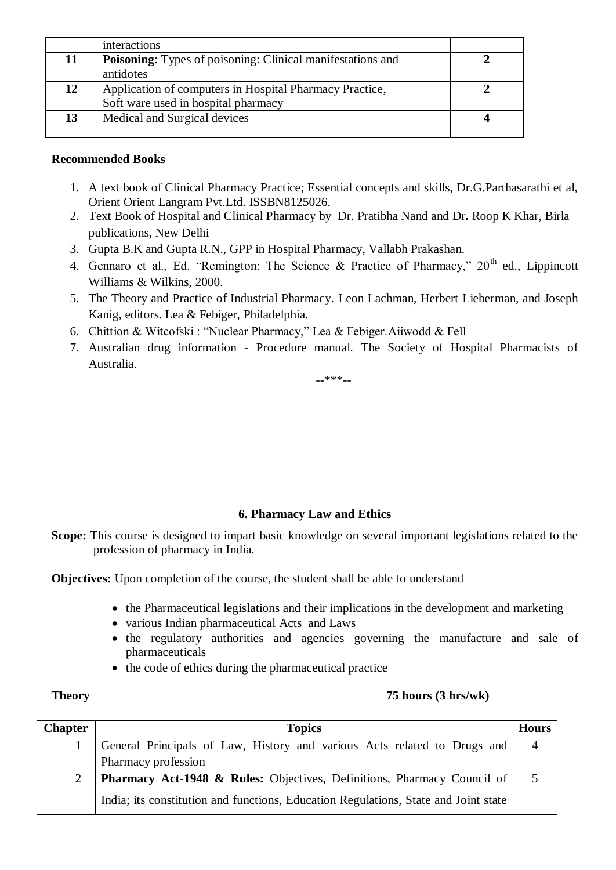|    | interactions                                                      |  |
|----|-------------------------------------------------------------------|--|
| 11 | <b>Poisoning:</b> Types of poisoning: Clinical manifestations and |  |
|    | antidotes                                                         |  |
| 12 | Application of computers in Hospital Pharmacy Practice,           |  |
|    | Soft ware used in hospital pharmacy                               |  |
| 13 | Medical and Surgical devices                                      |  |
|    |                                                                   |  |

- 1. A text book of Clinical Pharmacy Practice; Essential concepts and skills, Dr.G.Parthasarathi et al, Orient Orient Langram Pvt.Ltd. ISSBN8125026.
- 2. Text Book of Hospital and Clinical Pharmacy by Dr. Pratibha Nand and Dr**.** Roop K Khar, Birla publications, New Delhi
- 3. Gupta B.K and Gupta R.N., GPP in Hospital Pharmacy, Vallabh Prakashan.
- 4. Gennaro et al., Ed. "Remington: The Science & Practice of Pharmacy,"  $20<sup>th</sup>$  ed., Lippincott Williams & Wilkins, 2000.
- 5. The Theory and Practice of Industrial Pharmacy. Leon Lachman, Herbert Lieberman, and Joseph Kanig, editors. Lea & Febiger, Philadelphia.
- 6. Chittion & Witcofski : "Nuclear Pharmacy," Lea & Febiger.Aiiwodd & Fell
- 7. Australian drug information Procedure manual. The Society of Hospital Pharmacists of Australia.

--\*\*\*--

### **6. Pharmacy Law and Ethics**

Scope: This course is designed to impart basic knowledge on several important legislations related to the profession of pharmacy in India.

**Objectives:** Upon completion of the course, the student shall be able to understand

- the Pharmaceutical legislations and their implications in the development and marketing
- various Indian pharmaceutical Acts and Laws
- the regulatory authorities and agencies governing the manufacture and sale of pharmaceuticals
- the code of ethics during the pharmaceutical practice

#### **Theory 75 hours (3 hrs/wk)**

| <b>Chapter</b> | <b>Topics</b>                                                                       | <b>Hours</b> |
|----------------|-------------------------------------------------------------------------------------|--------------|
|                | General Principals of Law, History and various Acts related to Drugs and            |              |
|                | Pharmacy profession                                                                 |              |
|                | <b>Pharmacy Act-1948 &amp; Rules:</b> Objectives, Definitions, Pharmacy Council of  |              |
|                | India; its constitution and functions, Education Regulations, State and Joint state |              |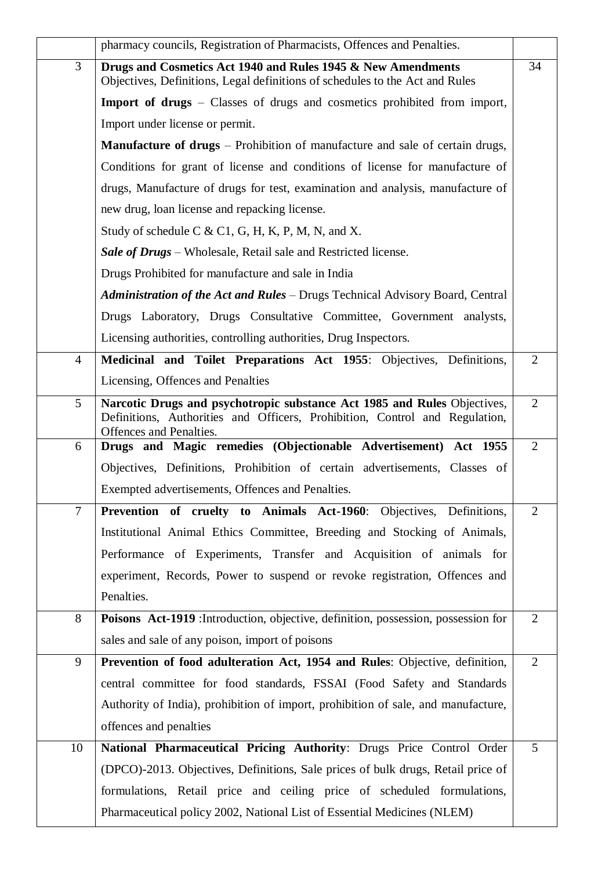|                | pharmacy councils, Registration of Pharmacists, Offences and Penalties.                                                                                                            |                |
|----------------|------------------------------------------------------------------------------------------------------------------------------------------------------------------------------------|----------------|
| $\overline{3}$ | Drugs and Cosmetics Act 1940 and Rules 1945 & New Amendments<br>Objectives, Definitions, Legal definitions of schedules to the Act and Rules                                       | 34             |
|                | <b>Import of drugs</b> – Classes of drugs and cosmetics prohibited from import,                                                                                                    |                |
|                | Import under license or permit.                                                                                                                                                    |                |
|                | <b>Manufacture of drugs</b> – Prohibition of manufacture and sale of certain drugs,                                                                                                |                |
|                | Conditions for grant of license and conditions of license for manufacture of                                                                                                       |                |
|                | drugs, Manufacture of drugs for test, examination and analysis, manufacture of                                                                                                     |                |
|                | new drug, loan license and repacking license.                                                                                                                                      |                |
|                | Study of schedule C & C1, G, H, K, P, M, N, and X.                                                                                                                                 |                |
|                | Sale of Drugs – Wholesale, Retail sale and Restricted license.                                                                                                                     |                |
|                | Drugs Prohibited for manufacture and sale in India                                                                                                                                 |                |
|                | Administration of the Act and Rules - Drugs Technical Advisory Board, Central                                                                                                      |                |
|                | Drugs Laboratory, Drugs Consultative Committee, Government analysts,                                                                                                               |                |
|                | Licensing authorities, controlling authorities, Drug Inspectors.                                                                                                                   |                |
| $\overline{4}$ | Medicinal and Toilet Preparations Act 1955: Objectives, Definitions,                                                                                                               | $\overline{2}$ |
|                | Licensing, Offences and Penalties                                                                                                                                                  |                |
| 5              | Narcotic Drugs and psychotropic substance Act 1985 and Rules Objectives,<br>Definitions, Authorities and Officers, Prohibition, Control and Regulation,<br>Offences and Penalties. | $\overline{2}$ |
| 6              | Drugs and Magic remedies (Objectionable Advertisement) Act 1955                                                                                                                    | $\overline{2}$ |
|                | Objectives, Definitions, Prohibition of certain advertisements, Classes of                                                                                                         |                |
|                | Exempted advertisements, Offences and Penalties.                                                                                                                                   |                |
| $\tau$         | Prevention of cruelty to Animals Act-1960: Objectives, Definitions,                                                                                                                | $\overline{2}$ |
|                | Institutional Animal Ethics Committee, Breeding and Stocking of Animals,                                                                                                           |                |
|                | Performance of Experiments, Transfer and Acquisition of animals for                                                                                                                |                |
|                | experiment, Records, Power to suspend or revoke registration, Offences and                                                                                                         |                |
|                | Penalties.                                                                                                                                                                         |                |
| 8              | Poisons Act-1919 : Introduction, objective, definition, possession, possession for                                                                                                 | $\overline{2}$ |
|                | sales and sale of any poison, import of poisons                                                                                                                                    |                |
| 9              | Prevention of food adulteration Act, 1954 and Rules: Objective, definition,                                                                                                        | $\overline{2}$ |
|                | central committee for food standards, FSSAI (Food Safety and Standards                                                                                                             |                |
|                | Authority of India), prohibition of import, prohibition of sale, and manufacture,                                                                                                  |                |
|                | offences and penalties                                                                                                                                                             |                |
| 10             | National Pharmaceutical Pricing Authority: Drugs Price Control Order                                                                                                               | 5              |
|                | (DPCO)-2013. Objectives, Definitions, Sale prices of bulk drugs, Retail price of                                                                                                   |                |
|                | formulations, Retail price and ceiling price of scheduled formulations,                                                                                                            |                |
|                | Pharmaceutical policy 2002, National List of Essential Medicines (NLEM)                                                                                                            |                |
|                |                                                                                                                                                                                    |                |